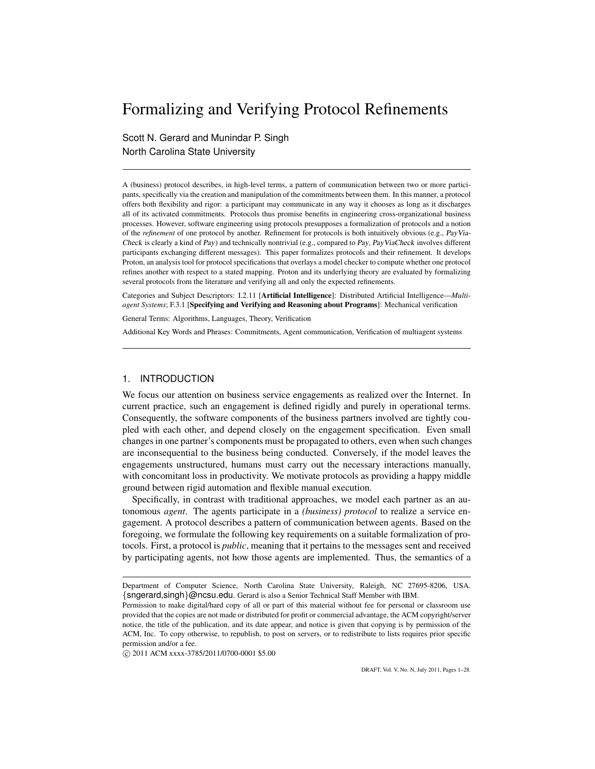# Formalizing and Verifying Protocol Refinements

Scott N. Gerard and Munindar P. Singh North Carolina State University

A (business) protocol describes, in high-level terms, a pattern of communication between two or more participants, specifically via the creation and manipulation of the commitments between them. In this manner, a protocol offers both flexibility and rigor: a participant may communicate in any way it chooses as long as it discharges all of its activated commitments. Protocols thus promise benefits in engineering cross-organizational business processes. However, software engineering using protocols presupposes a formalization of protocols and a notion of the *refinement* of one protocol by another. Refinement for protocols is both intuitively obvious (e.g., PayVia-Check is clearly a kind of Pay) and technically nontrivial (e.g., compared to Pay, PayViaCheck involves different participants exchanging different messages). This paper formalizes protocols and their refinement. It develops Proton, an analysis tool for protocol specifications that overlays a model checker to compute whether one protocol refines another with respect to a stated mapping. Proton and its underlying theory are evaluated by formalizing several protocols from the literature and verifying all and only the expected refinements.

Categories and Subject Descriptors: I.2.11 [Artificial Intelligence]: Distributed Artificial Intelligence—*Multiagent Systems*; F.3.1 [Specifying and Verifying and Reasoning about Programs]: Mechanical verification

General Terms: Algorithms, Languages, Theory, Verification

Additional Key Words and Phrases: Commitments, Agent communication, Verification of multiagent systems

## 1. INTRODUCTION

We focus our attention on business service engagements as realized over the Internet. In current practice, such an engagement is defined rigidly and purely in operational terms. Consequently, the software components of the business partners involved are tightly coupled with each other, and depend closely on the engagement specification. Even small changes in one partner's components must be propagated to others, even when such changes are inconsequential to the business being conducted. Conversely, if the model leaves the engagements unstructured, humans must carry out the necessary interactions manually, with concomitant loss in productivity. We motivate protocols as providing a happy middle ground between rigid automation and flexible manual execution.

Specifically, in contrast with traditional approaches, we model each partner as an autonomous *agent*. The agents participate in a *(business) protocol* to realize a service engagement. A protocol describes a pattern of communication between agents. Based on the foregoing, we formulate the following key requirements on a suitable formalization of protocols. First, a protocol is *public*, meaning that it pertains to the messages sent and received by participating agents, not how those agents are implemented. Thus, the semantics of a

c 2011 ACM xxxx-3785/2011/0700-0001 \$5.00

Department of Computer Science, North Carolina State University, Raleigh, NC 27695-8206, USA. {sngerard,singh}@ncsu.edu. Gerard is also a Senior Technical Staff Member with IBM.

Permission to make digital/hard copy of all or part of this material without fee for personal or classroom use provided that the copies are not made or distributed for profit or commercial advantage, the ACM copyright/server notice, the title of the publication, and its date appear, and notice is given that copying is by permission of the ACM, Inc. To copy otherwise, to republish, to post on servers, or to redistribute to lists requires prior specific permission and/or a fee.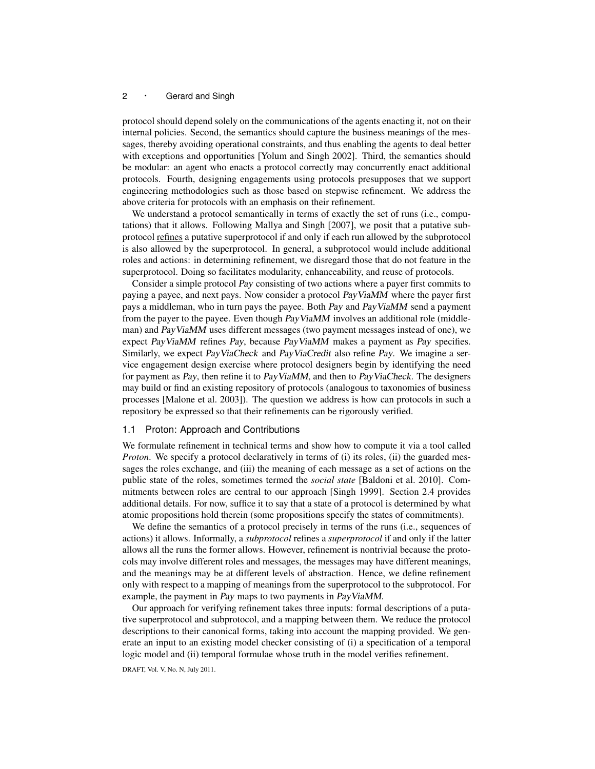protocol should depend solely on the communications of the agents enacting it, not on their internal policies. Second, the semantics should capture the business meanings of the messages, thereby avoiding operational constraints, and thus enabling the agents to deal better with exceptions and opportunities [Yolum and Singh 2002]. Third, the semantics should be modular: an agent who enacts a protocol correctly may concurrently enact additional protocols. Fourth, designing engagements using protocols presupposes that we support engineering methodologies such as those based on stepwise refinement. We address the above criteria for protocols with an emphasis on their refinement.

We understand a protocol semantically in terms of exactly the set of runs (i.e., computations) that it allows. Following Mallya and Singh [2007], we posit that a putative subprotocol refines a putative superprotocol if and only if each run allowed by the subprotocol is also allowed by the superprotocol. In general, a subprotocol would include additional roles and actions: in determining refinement, we disregard those that do not feature in the superprotocol. Doing so facilitates modularity, enhanceability, and reuse of protocols.

Consider a simple protocol Pay consisting of two actions where a payer first commits to paying a payee, and next pays. Now consider a protocol PayViaMM where the payer first pays a middleman, who in turn pays the payee. Both Pay and PayViaMM send a payment from the payer to the payee. Even though *PayViaMM* involves an additional role (middleman) and PayViaMM uses different messages (two payment messages instead of one), we expect PayViaMM refines Pay, because PayViaMM makes a payment as Pay specifies. Similarly, we expect PayViaCheck and PayViaCredit also refine Pay. We imagine a service engagement design exercise where protocol designers begin by identifying the need for payment as Pay, then refine it to PayViaMM, and then to PayViaCheck. The designers may build or find an existing repository of protocols (analogous to taxonomies of business processes [Malone et al. 2003]). The question we address is how can protocols in such a repository be expressed so that their refinements can be rigorously verified.

#### 1.1 Proton: Approach and Contributions

We formulate refinement in technical terms and show how to compute it via a tool called *Proton*. We specify a protocol declaratively in terms of (i) its roles, (ii) the guarded messages the roles exchange, and (iii) the meaning of each message as a set of actions on the public state of the roles, sometimes termed the *social state* [Baldoni et al. 2010]. Commitments between roles are central to our approach [Singh 1999]. Section 2.4 provides additional details. For now, suffice it to say that a state of a protocol is determined by what atomic propositions hold therein (some propositions specify the states of commitments).

We define the semantics of a protocol precisely in terms of the runs (i.e., sequences of actions) it allows. Informally, a *subprotocol* refines a *superprotocol* if and only if the latter allows all the runs the former allows. However, refinement is nontrivial because the protocols may involve different roles and messages, the messages may have different meanings, and the meanings may be at different levels of abstraction. Hence, we define refinement only with respect to a mapping of meanings from the superprotocol to the subprotocol. For example, the payment in Pay maps to two payments in PayViaMM.

Our approach for verifying refinement takes three inputs: formal descriptions of a putative superprotocol and subprotocol, and a mapping between them. We reduce the protocol descriptions to their canonical forms, taking into account the mapping provided. We generate an input to an existing model checker consisting of (i) a specification of a temporal logic model and (ii) temporal formulae whose truth in the model verifies refinement.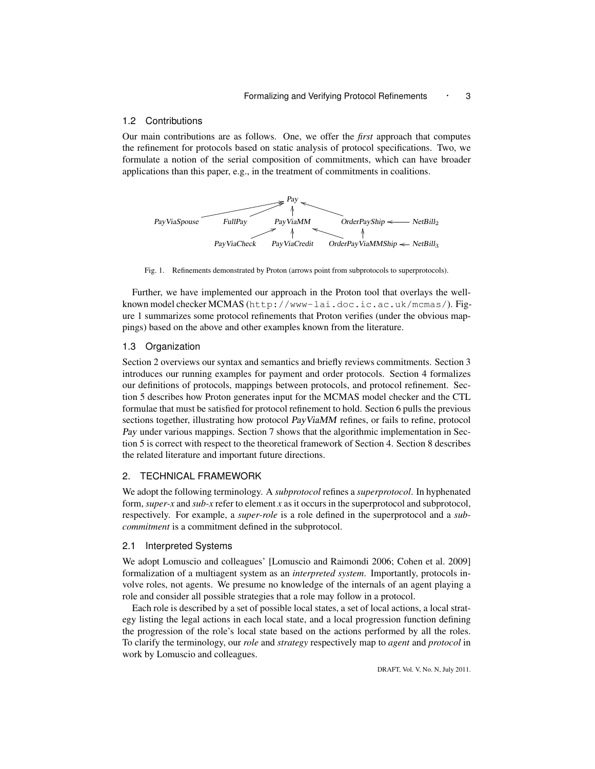## 1.2 Contributions

Our main contributions are as follows. One, we offer the *first* approach that computes the refinement for protocols based on static analysis of protocol specifications. Two, we formulate a notion of the serial composition of commitments, which can have broader applications than this paper, e.g., in the treatment of commitments in coalitions.



Fig. 1. Refinements demonstrated by Proton (arrows point from subprotocols to superprotocols).

Further, we have implemented our approach in the Proton tool that overlays the wellknown model checker MCMAS (http://www-lai.doc.ic.ac.uk/mcmas/). Figure 1 summarizes some protocol refinements that Proton verifies (under the obvious mappings) based on the above and other examples known from the literature.

## 1.3 Organization

Section 2 overviews our syntax and semantics and briefly reviews commitments. Section 3 introduces our running examples for payment and order protocols. Section 4 formalizes our definitions of protocols, mappings between protocols, and protocol refinement. Section 5 describes how Proton generates input for the MCMAS model checker and the CTL formulae that must be satisfied for protocol refinement to hold. Section 6 pulls the previous sections together, illustrating how protocol *PayViaMM* refines, or fails to refine, protocol Pay under various mappings. Section 7 shows that the algorithmic implementation in Section 5 is correct with respect to the theoretical framework of Section 4. Section 8 describes the related literature and important future directions.

#### 2. TECHNICAL FRAMEWORK

We adopt the following terminology. A *subprotocol* refines a *superprotocol*. In hyphenated form, *super-x* and *sub-x* refer to element *x* as it occurs in the superprotocol and subprotocol, respectively. For example, a *super-role* is a role defined in the superprotocol and a *subcommitment* is a commitment defined in the subprotocol.

#### 2.1 Interpreted Systems

We adopt Lomuscio and colleagues' [Lomuscio and Raimondi 2006; Cohen et al. 2009] formalization of a multiagent system as an *interpreted system*. Importantly, protocols involve roles, not agents. We presume no knowledge of the internals of an agent playing a role and consider all possible strategies that a role may follow in a protocol.

Each role is described by a set of possible local states, a set of local actions, a local strategy listing the legal actions in each local state, and a local progression function defining the progression of the role's local state based on the actions performed by all the roles. To clarify the terminology, our *role* and *strategy* respectively map to *agent* and *protocol* in work by Lomuscio and colleagues.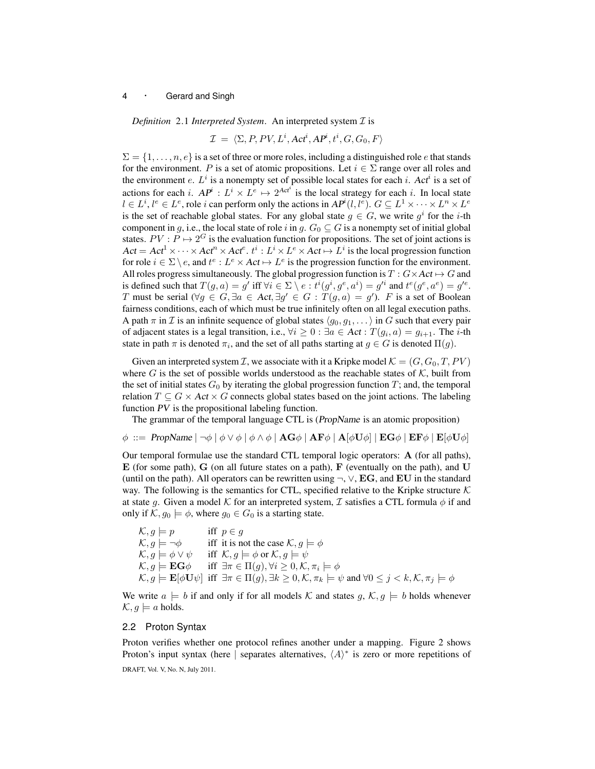*Definition* 2.1 *Interpreted System*. An interpreted system  $I$  is

$$
\mathcal{I} = \langle \Sigma, P, PV, L^i, Act^i, AP^i, t^i, G, G_0, F \rangle
$$

 $\Sigma = \{1, \ldots, n, e\}$  is a set of three or more roles, including a distinguished role e that stands for the environment. P is a set of atomic propositions. Let  $i \in \Sigma$  range over all roles and the environment e.  $L^i$  is a nonempty set of possible local states for each i. Act<sup>i</sup> is a set of actions for each i.  $AP^i: L^i \times L^e \mapsto 2^{Act^i}$  is the local strategy for each i. In local state  $l \in L^i$ ,  $l^e \in L^e$ , role i can perform only the actions in  $AP^i(l, l^e)$ .  $G \subseteq L^1 \times \cdots \times L^n \times L^e$ is the set of reachable global states. For any global state  $g \in G$ , we write  $g^i$  for the *i*-th component in g, i.e., the local state of role i in g.  $G_0 \subseteq G$  is a nonempty set of initial global states.  $PV : P \mapsto 2^G$  is the evaluation function for propositions. The set of joint actions is  $Act = Act^1 \times \cdots \times Act^n \times Act^e$ .  $t^i : L^i \times L^e \times Act \mapsto L^i$  is the local progression function for role  $i \in \Sigma \setminus e$ , and  $t^e : L^e \times Act \mapsto L^e$  is the progression function for the environment. All roles progress simultaneously. The global progression function is  $T : G \times Act \rightarrow G$  and is defined such that  $T(g, a) = g'$  iff  $\forall i \in \Sigma \setminus e : t^i(g^i, g^e, a^i) = g'^i$  and  $t^e(g^e, a^e) = g'^e$ . T must be serial  $(\forall g \in G, \exists a \in Act, \exists g' \in G : T(g, a) = g')$ . F is a set of Boolean fairness conditions, each of which must be true infinitely often on all legal execution paths. A path  $\pi$  in  $\mathcal I$  is an infinite sequence of global states  $\langle g_0, g_1, \ldots \rangle$  in G such that every pair of adjacent states is a legal transition, i.e.,  $\forall i \geq 0 : \exists a \in Act : T(g_i, a) = g_{i+1}$ . The *i*-th state in path  $\pi$  is denoted  $\pi_i$ , and the set of all paths starting at  $g \in G$  is denoted  $\Pi(g)$ .

Given an interpreted system Z, we associate with it a Kripke model  $\mathcal{K} = (G, G_0, T, PV)$ where G is the set of possible worlds understood as the reachable states of  $K$ , built from the set of initial states  $G_0$  by iterating the global progression function  $T$ ; and, the temporal relation  $T \subseteq G \times Act \times G$  connects global states based on the joint actions. The labeling function PV is the propositional labeling function.

The grammar of the temporal language CTL is (PropName is an atomic proposition)

 $\phi$  ::= PropName  $|\neg \phi | \phi \vee \phi | \phi \wedge \phi | AG\phi | AF\phi | A[\phi U\phi] | EG\phi | EF\phi | E[\phi U\phi]$ 

Our temporal formulae use the standard CTL temporal logic operators: A (for all paths), E (for some path), G (on all future states on a path), F (eventually on the path), and U (until on the path). All operators can be rewritten using  $\neg$ ,  $\vee$ , **EG**, and **EU** in the standard way. The following is the semantics for CTL, specified relative to the Kripke structure  $K$ at state g. Given a model K for an interpreted system, I satisfies a CTL formula  $\phi$  if and only if  $\mathcal{K}, g_0 \models \phi$ , where  $g_0 \in G_0$  is a starting state.

$$
\mathcal{K}, g \models p \quad \text{iff } p \in g
$$
\n
$$
\mathcal{K}, g \models \neg \phi \quad \text{iff it is not the case } \mathcal{K}, g \models \phi
$$
\n
$$
\mathcal{K}, g \models \phi \lor \psi \quad \text{iff } \mathcal{K}, g \models \phi \text{ or } \mathcal{K}, g \models \psi
$$
\n
$$
\mathcal{K}, g \models \mathbf{EG}\phi \quad \text{iff } \exists \pi \in \Pi(g), \forall i \geq 0, \mathcal{K}, \pi_i \models \phi
$$
\n
$$
\mathcal{K}, g \models \mathbf{E}[\phi \mathbf{U}\psi] \text{ iff } \exists \pi \in \Pi(g), \exists k \geq 0, \mathcal{K}, \pi_k \models \psi \text{ and } \forall 0 \leq j < k, \mathcal{K}, \pi_j \models \phi
$$

We write  $a \models b$  if and only if for all models K and states  $g, K, g \models b$  holds whenever  $\mathcal{K}, q \models a$  holds.

#### 2.2 Proton Syntax

Proton verifies whether one protocol refines another under a mapping. Figure 2 shows Proton's input syntax (here | separates alternatives,  $\langle A \rangle^*$  is zero or more repetitions of DRAFT, Vol. V, No. N, July 2011.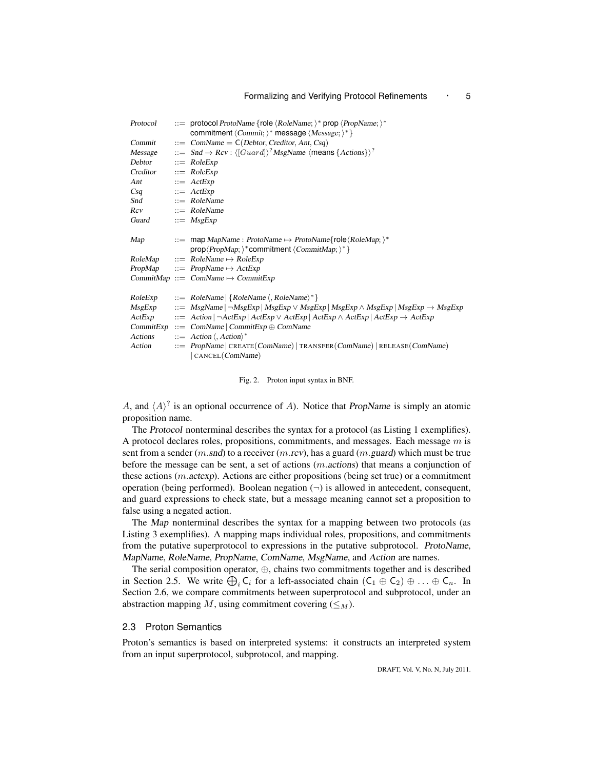| Protocol                     | ::= protocol ProtoName {role $\langle \text{RoleName}; \rangle^*$ prop $\langle \text{PropName}; \rangle^*$                                                       |
|------------------------------|-------------------------------------------------------------------------------------------------------------------------------------------------------------------|
|                              | commitment $\langle \textit{Commit}; \rangle^*$ message $\langle \textit{Message}; \rangle^*$                                                                     |
| Commit                       | $\therefore$ ComName = C(Debtor, Creditor, Ant, Csq)                                                                                                              |
| Message                      | $\therefore$ Snd $\rightarrow$ Rcv : $\langle$ [ <i>Guard</i> ] $\rangle$ <sup>2</sup> <i>MsgName</i> $\langle$ <b>means</b> $\{Actions\}$ $\rangle$ <sup>2</sup> |
| Debtor $ ::= \text{RoleExp}$ |                                                                                                                                                                   |
| $Creditor$ ::= $RoleExp$     |                                                                                                                                                                   |
| Ant $::=$ ActExp             |                                                                                                                                                                   |
| $Csq$ ::= $ActExp$           |                                                                                                                                                                   |
| $Snd$ ::= RoleName           |                                                                                                                                                                   |
| Rcv                          | $ ::=$ RoleName                                                                                                                                                   |
| Guard                        | $ ::=$ $MsgExp$                                                                                                                                                   |
|                              |                                                                                                                                                                   |
| Map                          | $\therefore$ map MapName : ProtoName $\mapsto$ ProtoName{role\RoleMap; $\rangle^*$                                                                                |
|                              | $prop\langle PropMap; \rangle^*$ commitment $\langle Commithlap; \rangle^*$                                                                                       |
|                              | $RoleMap$ ::= $RoleName \rightarrow RoleExp$                                                                                                                      |
|                              | PropMap ::= PropName $\mapsto$ ActExp                                                                                                                             |
|                              | CommitMap ::= ComName $\mapsto$ CommitExp                                                                                                                         |
|                              |                                                                                                                                                                   |
|                              | $RoleExp$ ::= $RoleName   {RoleName \langle, RoleName \rangle^* }$                                                                                                |
|                              | $MsgExp$ ::= $MsgName \mid \neg MsgExp \mid MsgExp \lor MsgExp \mid MsgExp \land MsgExp \land MsgExp \mid MsgExp \rightarrow MsgExp$                              |
|                              | ActExp $\implies$ Action $ \neg$ ActExp $ \right)$ ActExp $\lor$ ActExp $ \right)$ ActExp $\land$ ActExp $ \right)$ ActExp $\implies$ ActExp                      |
|                              | CommitExp ::= ComName   CommitExp $\oplus$ ComName                                                                                                                |
|                              | Actions $::=$ Action $\langle$ , Action $\rangle^*$                                                                                                               |
| Action                       | $ ::=$ PropName $ $ CREATE(ComName) $ $ TRANSFER(ComName) $ $ RELEASE(ComName)                                                                                    |
|                              | CANCEL(ComName)                                                                                                                                                   |

Fig. 2. Proton input syntax in BNF.

A, and  $\langle A \rangle^2$  is an optional occurrence of A). Notice that PropName is simply an atomic proposition name.

The Protocol nonterminal describes the syntax for a protocol (as Listing 1 exemplifies). A protocol declares roles, propositions, commitments, and messages. Each message  $m$  is sent from a sender  $(m.\text{snd})$  to a receiver  $(m.\text{rcv})$ , has a guard  $(m.\text{guard})$  which must be true before the message can be sent, a set of actions  $(m \cdot \text{actions})$  that means a conjunction of these actions  $(m \cdot \text{actexp})$ . Actions are either propositions (being set true) or a commitment operation (being performed). Boolean negation  $(\neg)$  is allowed in antecedent, consequent, and guard expressions to check state, but a message meaning cannot set a proposition to false using a negated action.

The Map nonterminal describes the syntax for a mapping between two protocols (as Listing 3 exemplifies). A mapping maps individual roles, propositions, and commitments from the putative superprotocol to expressions in the putative subprotocol. ProtoName, MapName, RoleName, PropName, ComName, MsgName, and Action are names.

The serial composition operator, ⊕, chains two commitments together and is described in Section 2.5. We write  $\bigoplus_i C_i$  for a left-associated chain  $(C_1 \oplus C_2) \oplus \ldots \oplus C_n$ . In Section 2.6, we compare commitments between superprotocol and subprotocol, under an abstraction mapping M, using commitment covering  $(\leq_M)$ .

# 2.3 Proton Semantics

Proton's semantics is based on interpreted systems: it constructs an interpreted system from an input superprotocol, subprotocol, and mapping.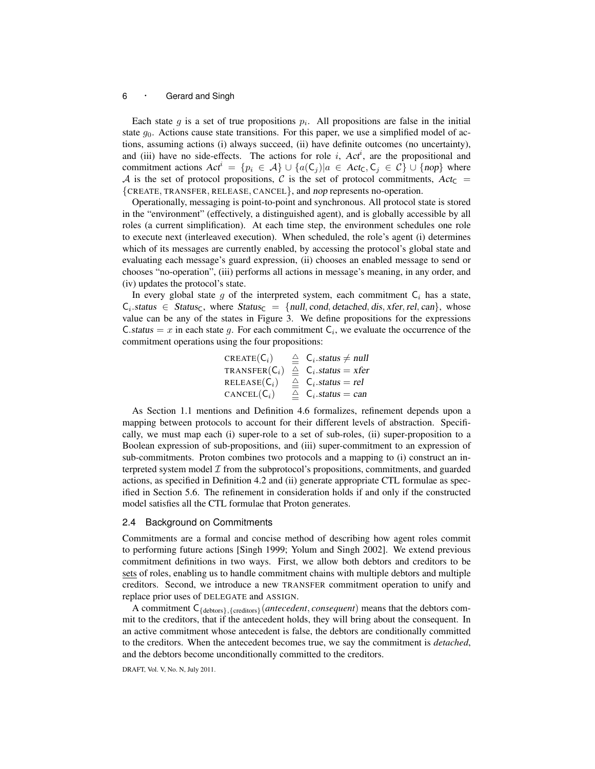Each state  $g$  is a set of true propositions  $p_i$ . All propositions are false in the initial state  $g_0$ . Actions cause state transitions. For this paper, we use a simplified model of actions, assuming actions (i) always succeed, (ii) have definite outcomes (no uncertainty), and (iii) have no side-effects. The actions for role  $i$ ,  $Act^{i}$ , are the propositional and commitment actions  $Act^i = \{p_i \in \mathcal{A}\} \cup \{a(C_j) | a \in Act_C, C_j \in \mathcal{C}\} \cup \{nop\}$  where A is the set of protocol propositions, C is the set of protocol commitments,  $Act_{\mathsf{C}} =$ {CREATE, TRANSFER, RELEASE, CANCEL}, and nop represents no-operation.

Operationally, messaging is point-to-point and synchronous. All protocol state is stored in the "environment" (effectively, a distinguished agent), and is globally accessible by all roles (a current simplification). At each time step, the environment schedules one role to execute next (interleaved execution). When scheduled, the role's agent (i) determines which of its messages are currently enabled, by accessing the protocol's global state and evaluating each message's guard expression, (ii) chooses an enabled message to send or chooses "no-operation", (iii) performs all actions in message's meaning, in any order, and (iv) updates the protocol's state.

In every global state  $g$  of the interpreted system, each commitment  $C_i$  has a state,  $C_i$ .status  $\in$  Status<sub>C</sub>, where Status<sub>C</sub> = {null, cond, detached, dis, xfer, rel, can}, whose value can be any of the states in Figure 3. We define propositions for the expressions C.status = x in each state g. For each commitment  $C_i$ , we evaluate the occurrence of the commitment operations using the four propositions:

$$
\begin{array}{rcl}\n\text{CREATE}(C_i) & \triangleq & C_i \text{ status} \neq \text{null} \\
\text{TRANSFER}(C_i) & \triangleq & C_i \text{ status} = \text{xfer} \\
\text{RELEASE}(C_i) & \triangleq & C_i \text{ status} = \text{rel} \\
\text{CANCEL}(C_i) & \triangleq & C_i \text{ status} = \text{can}\n\end{array}
$$

As Section 1.1 mentions and Definition 4.6 formalizes, refinement depends upon a mapping between protocols to account for their different levels of abstraction. Specifically, we must map each (i) super-role to a set of sub-roles, (ii) super-proposition to a Boolean expression of sub-propositions, and (iii) super-commitment to an expression of sub-commitments. Proton combines two protocols and a mapping to (i) construct an interpreted system model  $\mathcal I$  from the subprotocol's propositions, commitments, and guarded actions, as specified in Definition 4.2 and (ii) generate appropriate CTL formulae as specified in Section 5.6. The refinement in consideration holds if and only if the constructed model satisfies all the CTL formulae that Proton generates.

#### 2.4 Background on Commitments

Commitments are a formal and concise method of describing how agent roles commit to performing future actions [Singh 1999; Yolum and Singh 2002]. We extend previous commitment definitions in two ways. First, we allow both debtors and creditors to be sets of roles, enabling us to handle commitment chains with multiple debtors and multiple creditors. Second, we introduce a new TRANSFER commitment operation to unify and replace prior uses of DELEGATE and ASSIGN.

A commitment C{debtors},{creditors}(*antecedent*, *consequent*) means that the debtors commit to the creditors, that if the antecedent holds, they will bring about the consequent. In an active commitment whose antecedent is false, the debtors are conditionally committed to the creditors. When the antecedent becomes true, we say the commitment is *detached*, and the debtors become unconditionally committed to the creditors.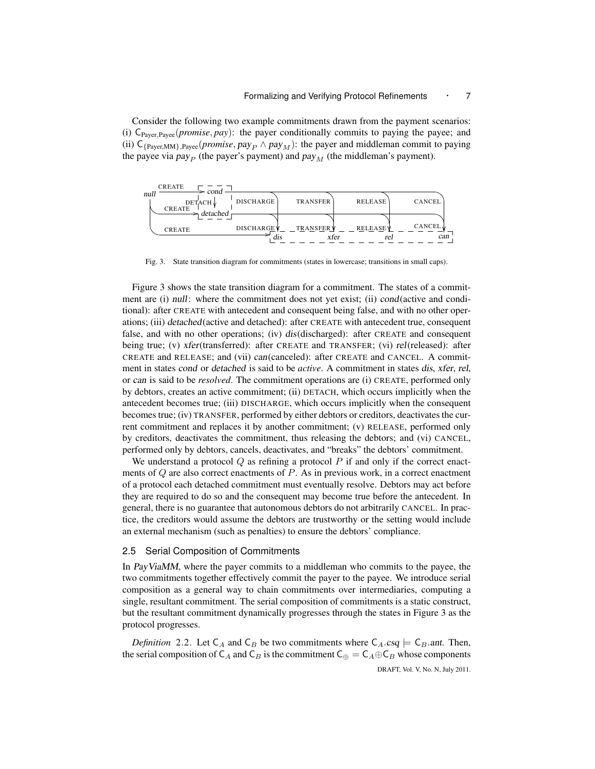Consider the following two example commitments drawn from the payment scenarios: (i) CPayer,Payee(*promise*, *pay*): the payer conditionally commits to paying the payee; and (ii)  $C_{\text{Paver,MM},\text{Pavec}}(promise, pay_P \wedge pay_M)$ : the payer and middleman commit to paying the payee via  $pay<sub>P</sub>$  (the payer's payment) and  $pay<sub>M</sub>$  (the middleman's payment).



Fig. 3. State transition diagram for commitments (states in lowercase; transitions in small caps).

Figure 3 shows the state transition diagram for a commitment. The states of a commitment are (i) null: where the commitment does not yet exist; (ii) cond(active and conditional): after CREATE with antecedent and consequent being false, and with no other operations; (iii) detached(active and detached): after CREATE with antecedent true, consequent false, and with no other operations; (iv) dis(discharged): after CREATE and consequent being true; (v) xfer(transferred): after CREATE and TRANSFER; (vi) rel(released): after CREATE and RELEASE; and (vii) can(canceled): after CREATE and CANCEL. A commitment in states cond or detached is said to be *active*. A commitment in states dis, xfer, rel, or can is said to be *resolved*. The commitment operations are (i) CREATE, performed only by debtors, creates an active commitment; (ii) DETACH, which occurs implicitly when the antecedent becomes true; (iii) DISCHARGE, which occurs implicitly when the consequent becomes true; (iv) TRANSFER, performed by either debtors or creditors, deactivates the current commitment and replaces it by another commitment; (v) RELEASE, performed only by creditors, deactivates the commitment, thus releasing the debtors; and (vi) CANCEL, performed only by debtors, cancels, deactivates, and "breaks" the debtors' commitment.

We understand a protocol  $Q$  as refining a protocol  $P$  if and only if the correct enactments of  $Q$  are also correct enactments of  $P$ . As in previous work, in a correct enactment of a protocol each detached commitment must eventually resolve. Debtors may act before they are required to do so and the consequent may become true before the antecedent. In general, there is no guarantee that autonomous debtors do not arbitrarily CANCEL. In practice, the creditors would assume the debtors are trustworthy or the setting would include an external mechanism (such as penalties) to ensure the debtors' compliance.

#### 2.5 Serial Composition of Commitments

In PayViaMM, where the payer commits to a middleman who commits to the payee, the two commitments together effectively commit the payer to the payee. We introduce serial composition as a general way to chain commitments over intermediaries, computing a single, resultant commitment. The serial composition of commitments is a static construct, but the resultant commitment dynamically progresses through the states in Figure 3 as the protocol progresses.

*Definition* 2.2. Let  $C_A$  and  $C_B$  be two commitments where  $C_A \text{ } c \text{ } s \text{ } q \models C_B \text{ } .$  Then, the serial composition of  $C_A$  and  $C_B$  is the commitment  $C_{\oplus} = C_A \oplus C_B$  whose components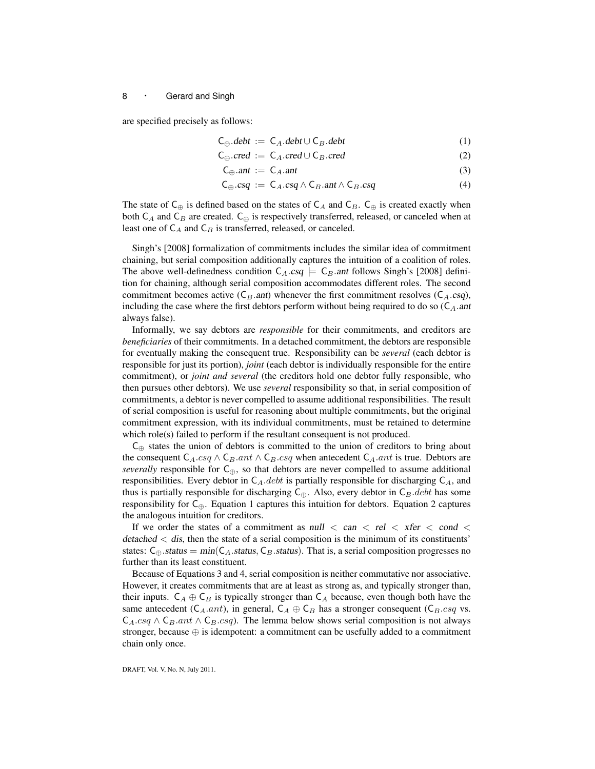are specified precisely as follows:

$$
C_{\oplus}.debt := C_A.debt \cup C_B.debt \tag{1}
$$

$$
C_{\oplus}.\text{cred} := C_A.\text{cred} \cup C_B.\text{cred} \tag{2}
$$

$$
C_{\oplus}.ant := C_A.ant \tag{3}
$$

$$
C_{\oplus}.csq := C_A.csq \wedge C_B .ant \wedge C_B.csq \qquad (4)
$$

The state of  $C_{\oplus}$  is defined based on the states of  $C_A$  and  $C_B$ .  $C_{\oplus}$  is created exactly when both  $C_A$  and  $C_B$  are created.  $C_{\oplus}$  is respectively transferred, released, or canceled when at least one of  $C_A$  and  $C_B$  is transferred, released, or canceled.

Singh's [2008] formalization of commitments includes the similar idea of commitment chaining, but serial composition additionally captures the intuition of a coalition of roles. The above well-definedness condition  $C_A \text{.csq } \models C_B \text{.}$  ant follows Singh's [2008] definition for chaining, although serial composition accommodates different roles. The second commitment becomes active ( $C_B$ .ant) whenever the first commitment resolves ( $C_A$ .csq), including the case where the first debtors perform without being required to do so  $(C_A \cdot \text{ant})$ always false).

Informally, we say debtors are *responsible* for their commitments, and creditors are *beneficiaries* of their commitments. In a detached commitment, the debtors are responsible for eventually making the consequent true. Responsibility can be *several* (each debtor is responsible for just its portion), *joint* (each debtor is individually responsible for the entire commitment), or *joint and several* (the creditors hold one debtor fully responsible, who then pursues other debtors). We use *several* responsibility so that, in serial composition of commitments, a debtor is never compelled to assume additional responsibilities. The result of serial composition is useful for reasoning about multiple commitments, but the original commitment expression, with its individual commitments, must be retained to determine which role(s) failed to perform if the resultant consequent is not produced.

 $C_{\oplus}$  states the union of debtors is committed to the union of creditors to bring about the consequent  $C_A.csq \wedge C_B.ant \wedge C_B.csq$  when antecedent  $C_A.ant$  is true. Debtors are *severally* responsible for C⊕, so that debtors are never compelled to assume additional responsibilities. Every debtor in  $C_A$ . *debt* is partially responsible for discharging  $C_A$ , and thus is partially responsible for discharging  $C_{\oplus}$ . Also, every debtor in  $C_B$ . *debt* has some responsibility for  $C_{\oplus}$ . Equation 1 captures this intuition for debtors. Equation 2 captures the analogous intuition for creditors.

If we order the states of a commitment as null  $\langle$  can  $\langle$  rel  $\langle$  xfer  $\langle$  cond  $\langle$ detached < dis, then the state of a serial composition is the minimum of its constituents' states:  $C_{\oplus}$ .status = min( $C_A$ .status,  $C_B$ .status). That is, a serial composition progresses no further than its least constituent.

Because of Equations 3 and 4, serial composition is neither commutative nor associative. However, it creates commitments that are at least as strong as, and typically stronger than, their inputs.  $C_A \oplus C_B$  is typically stronger than  $C_A$  because, even though both have the same antecedent (C<sub>A</sub>.ant), in general, C<sub>A</sub>  $\oplus$  C<sub>B</sub> has a stronger consequent (C<sub>B</sub>.csq vs.  $C_A.csq \wedge C_B.$  ant  $\wedge C_B.csq$ ). The lemma below shows serial composition is not always stronger, because  $\oplus$  is idempotent: a commitment can be usefully added to a commitment chain only once.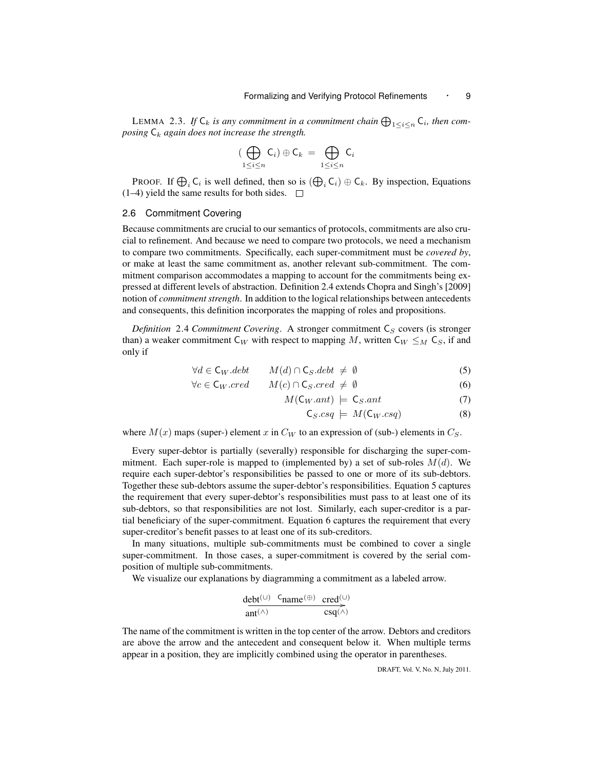LEMMA 2.3. If  $\mathsf{C}_k$  is any commitment in a commitment chain  $\bigoplus_{1 \leq i \leq n} \mathsf{C}_i$ , then com*posing*  $C_k$  *again does not increase the strength.* 

$$
(\bigoplus_{1\leq i\leq n} C_i)\oplus C_k = \bigoplus_{1\leq i\leq n} C_i
$$

PROOF. If  $\bigoplus_i C_i$  is well defined, then so is  $(\bigoplus_i C_i) \oplus C_k$ . By inspection, Equations  $(1-4)$  yield the same results for both sides.  $\Box$ 

# 2.6 Commitment Covering

Because commitments are crucial to our semantics of protocols, commitments are also crucial to refinement. And because we need to compare two protocols, we need a mechanism to compare two commitments. Specifically, each super-commitment must be *covered by*, or make at least the same commitment as, another relevant sub-commitment. The commitment comparison accommodates a mapping to account for the commitments being expressed at different levels of abstraction. Definition 2.4 extends Chopra and Singh's [2009] notion of *commitment strength*. In addition to the logical relationships between antecedents and consequents, this definition incorporates the mapping of roles and propositions.

*Definition* 2.4 *Commitment Covering*. A stronger commitment  $C_S$  covers (is stronger than) a weaker commitment  $C_W$  with respect to mapping M, written  $C_W \leq_M C_S$ , if and only if

$$
\forall d \in \mathsf{C}_W. debt \qquad M(d) \cap \mathsf{C}_S. debt \neq \emptyset \tag{5}
$$

$$
\forall c \in \mathsf{C}_W.\text{cred} \qquad M(c) \cap \mathsf{C}_S.\text{cred} \neq \emptyset \tag{6}
$$

$$
M(C_W.ant) \models C_S.ant \tag{7}
$$

$$
C_S.csq \models M(C_W.csq) \tag{8}
$$

where  $M(x)$  maps (super-) element x in  $C_W$  to an expression of (sub-) elements in  $C_S$ .

Every super-debtor is partially (severally) responsible for discharging the super-commitment. Each super-role is mapped to (implemented by) a set of sub-roles  $M(d)$ . We require each super-debtor's responsibilities be passed to one or more of its sub-debtors. Together these sub-debtors assume the super-debtor's responsibilities. Equation 5 captures the requirement that every super-debtor's responsibilities must pass to at least one of its sub-debtors, so that responsibilities are not lost. Similarly, each super-creditor is a partial beneficiary of the super-commitment. Equation 6 captures the requirement that every super-creditor's benefit passes to at least one of its sub-creditors.

In many situations, multiple sub-commitments must be combined to cover a single super-commitment. In those cases, a super-commitment is covered by the serial composition of multiple sub-commitments.

We visualize our explanations by diagramming a commitment as a labeled arrow.

$$
\frac{debt^{(\cup)}\quad \mathsf{Cname}^{(\oplus)}\quad cred^{(\cup)}_{\text{ant}(\wedge)}}{\text{csq}(\bar{\wedge})}
$$

The name of the commitment is written in the top center of the arrow. Debtors and creditors are above the arrow and the antecedent and consequent below it. When multiple terms appear in a position, they are implicitly combined using the operator in parentheses.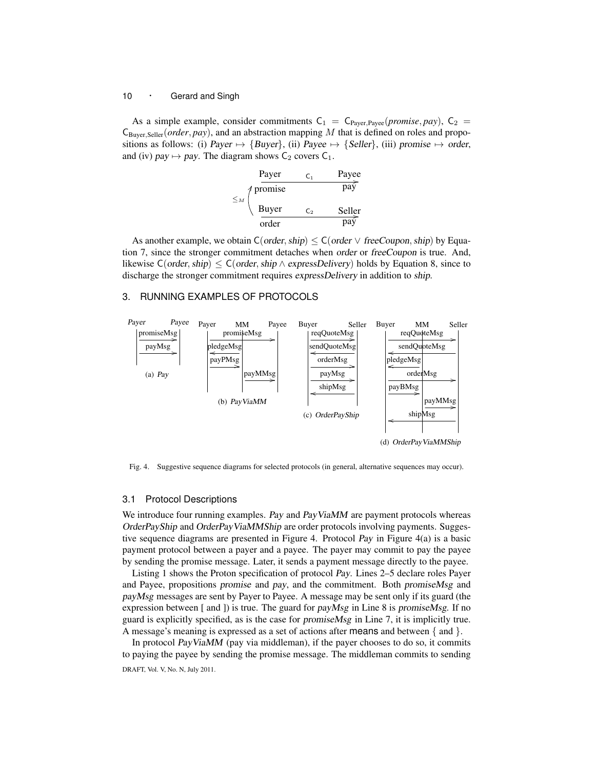As a simple example, consider commitments  $C_1 = C_{\text{Payer, Page}}(promise, pay)$ ,  $C_2 =$  $C_{Buper, Seller}(order, pay)$ , and an abstraction mapping M that is defined on roles and propositions as follows: (i) Payer  $\mapsto$  {Buyer}, (ii) Payee  $\mapsto$  {Seller}, (iii) promise  $\mapsto$  order, and (iv) pay  $\mapsto$  pay. The diagram shows C<sub>2</sub> covers C<sub>1</sub>.



As another example, we obtain  $C(\text{order}, \text{ship}) \leq C(\text{order} \vee \text{free} C \text{oupon}, \text{ship})$  by Equation 7, since the stronger commitment detaches when order or freeCoupon is true. And, likewise C(order, ship)  $\langle C(\text{order}, \text{ship} \wedge \text{expressDelivery}) \rangle$  holds by Equation 8, since to discharge the stronger commitment requires expressDelivery in addition to ship.

## 3. RUNNING EXAMPLES OF PROTOCOLS



Fig. 4. Suggestive sequence diagrams for selected protocols (in general, alternative sequences may occur).

## 3.1 Protocol Descriptions

We introduce four running examples. Pay and PayViaMM are payment protocols whereas OrderPayShip and OrderPayViaMMShip are order protocols involving payments. Suggestive sequence diagrams are presented in Figure 4. Protocol Pay in Figure 4(a) is a basic payment protocol between a payer and a payee. The payer may commit to pay the payee by sending the promise message. Later, it sends a payment message directly to the payee.

Listing 1 shows the Proton specification of protocol Pay. Lines 2–5 declare roles Payer and Payee, propositions promise and pay, and the commitment. Both promiseMsg and payMsg messages are sent by Payer to Payee. A message may be sent only if its guard (the expression between  $[$  and  $]$ ) is true. The guard for  $payMsg$  in Line 8 is promiseMsg. If no guard is explicitly specified, as is the case for promiseMsg in Line 7, it is implicitly true. A message's meaning is expressed as a set of actions after means and between  $\{$  and  $\}$ .

In protocol PayViaMM (pay via middleman), if the payer chooses to do so, it commits to paying the payee by sending the promise message. The middleman commits to sending DRAFT, Vol. V, No. N, July 2011.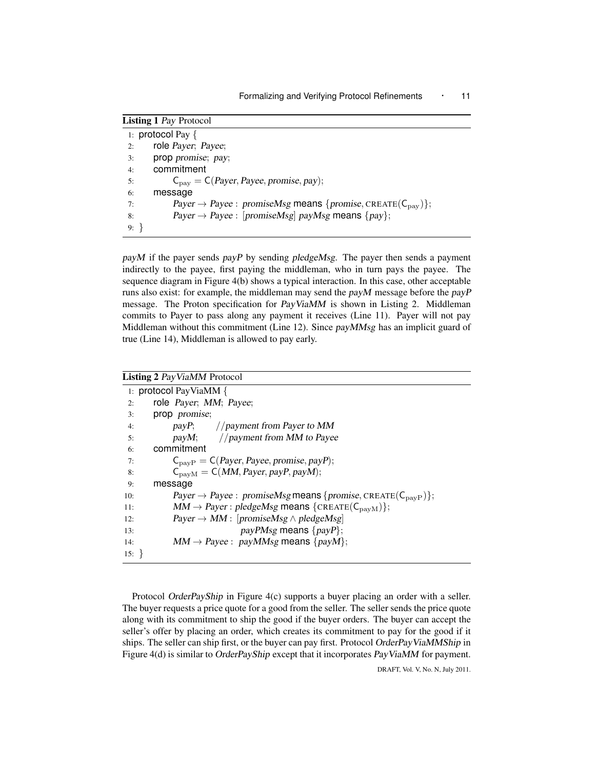Listing 1 Pay Protocol

|    | 1: protocol Pay $\{$                                                                |
|----|-------------------------------------------------------------------------------------|
| 2: | role Payer; Payee;                                                                  |
| 3: | prop promise; pay;                                                                  |
| 4: | commitment                                                                          |
| 5: | $C_{\text{pay}} = C(Payer, Page, promise, pay);$                                    |
| 6: | message                                                                             |
| 7: | Payer $\rightarrow$ Payee : promiseMsg means {promise, CREATE( $C_{\text{pav}}$ )}; |
| 8: | Payer $\rightarrow$ Payee : [promiseMsg] payMsg means {pay};                        |
| 9: |                                                                                     |

payM if the payer sends payP by sending pledgeMsg. The payer then sends a payment indirectly to the payee, first paying the middleman, who in turn pays the payee. The sequence diagram in Figure 4(b) shows a typical interaction. In this case, other acceptable runs also exist: for example, the middleman may send the  $payM$  message before the  $payP$ message. The Proton specification for PayViaMM is shown in Listing 2. Middleman commits to Payer to pass along any payment it receives (Line 11). Payer will not pay Middleman without this commitment (Line 12). Since payMMsg has an implicit guard of true (Line 14), Middleman is allowed to pay early.

# Listing 2 PayViaMM Protocol

| 1: protocol PayViaMM {                                                                                                |
|-----------------------------------------------------------------------------------------------------------------------|
| role Payer; MM; Payee;                                                                                                |
| prop <i>promise</i> ;                                                                                                 |
| payP; $//$ payment from Payer to MM                                                                                   |
| $payM$ ; //payment from MM to Payee                                                                                   |
| commitment                                                                                                            |
| $C_{\text{payP}} = C(Payer, Page, promise, payP);$                                                                    |
| $C_{\text{pavM}} = C(MM, \text{Payer}, \text{payP}, \text{payM});$                                                    |
| message                                                                                                               |
| Payer $\rightarrow$ Payee : promiseMsg means {promise, CREATE( $C_{\text{pavP}}$ )};                                  |
| $MM \rightarrow \text{Payer}: \text{pleg} \rightarrow \{\text{ceans } \{ \text{CREATE}(\mathsf{C}_{\text{payM}}) \};$ |
| Payer $\rightarrow$ MM : [promiseMsg $\land$ pledgeMsg]                                                               |
| <i>payPMsg</i> means $\{payP\};$                                                                                      |
| $MM \rightarrow \text{Payee}: \text{payM}M\text{sg} \text{ means } \{\text{payM}\};$                                  |
| $15: \; \;$                                                                                                           |
|                                                                                                                       |

Protocol OrderPayShip in Figure 4(c) supports a buyer placing an order with a seller. The buyer requests a price quote for a good from the seller. The seller sends the price quote along with its commitment to ship the good if the buyer orders. The buyer can accept the seller's offer by placing an order, which creates its commitment to pay for the good if it ships. The seller can ship first, or the buyer can pay first. Protocol OrderPayViaMMShip in Figure 4(d) is similar to *OrderPayShip* except that it incorporates *PayViaMM* for payment.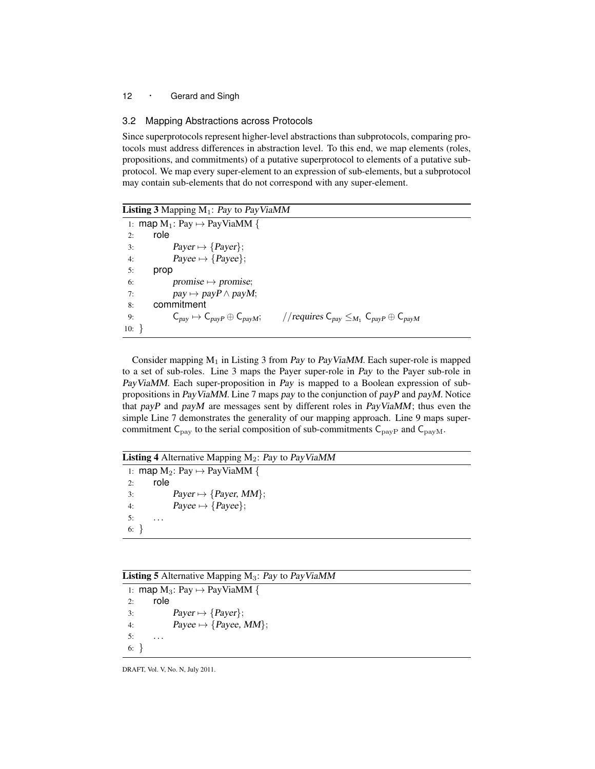## 3.2 Mapping Abstractions across Protocols

Since superprotocols represent higher-level abstractions than subprotocols, comparing protocols must address differences in abstraction level. To this end, we map elements (roles, propositions, and commitments) of a putative superprotocol to elements of a putative subprotocol. We map every super-element to an expression of sub-elements, but a subprotocol may contain sub-elements that do not correspond with any super-element.

# **Listing 3** Mapping  $M_1$ : Pay to PayViaMM

|     | 1: map $M_1$ : Pay $\mapsto$ PayViaMM {                                |                                                         |
|-----|------------------------------------------------------------------------|---------------------------------------------------------|
| 2:  | role                                                                   |                                                         |
| 3:  | $Payer \mapsto \{Payer\};$                                             |                                                         |
| 4:  | $Payee \mapsto \{Payee\};$                                             |                                                         |
| 5:  | prop                                                                   |                                                         |
| 6:  | promise $\mapsto$ promise;                                             |                                                         |
| 7:  | $pay \mapsto payP \wedge payM;$                                        |                                                         |
| 8:  | commitment                                                             |                                                         |
| 9:  | $\mathsf{C}_{pay} \mapsto \mathsf{C}_{payP} \oplus \mathsf{C}_{payM};$ | //requires $C_{pay} \leq_{M_1} C_{pay} \oplus C_{payM}$ |
| 10: |                                                                        |                                                         |

Consider mapping  $M_1$  in Listing 3 from Pay to PayViaMM. Each super-role is mapped to a set of sub-roles. Line 3 maps the Payer super-role in Pay to the Payer sub-role in PayViaMM. Each super-proposition in Pay is mapped to a Boolean expression of subpropositions in PayViaMM. Line 7 maps pay to the conjunction of payP and payM. Notice that payP and payM are messages sent by different roles in PayViaMM; thus even the simple Line 7 demonstrates the generality of our mapping approach. Line 9 maps supercommitment  $C_{\text{pay}}$  to the serial composition of sub-commitments  $C_{\text{pay}}$  and  $C_{\text{pay}}$ .

**Listing 4** Alternative Mapping  $M_2$ : Pay to PayViaMM

1: map  $M_2$ : Pay  $\mapsto$  PayViaMM { 2: role 3: Payer  $\mapsto$  {Payer, MM}; 4:  $Payee \mapsto \{Payee\};$  $5:$   $\ldots$ 6: }

## **Listing 5** Alternative Mapping  $M_3$ : Pay to PayViaMM

1: map  $M_3$ : Pay  $\mapsto$  PayViaMM { 2: role 3:  $Payer \mapsto \{Payer\};$ 4: Payee  $\mapsto$  {Payee, MM};  $5: \qquad \ldots$ 6: }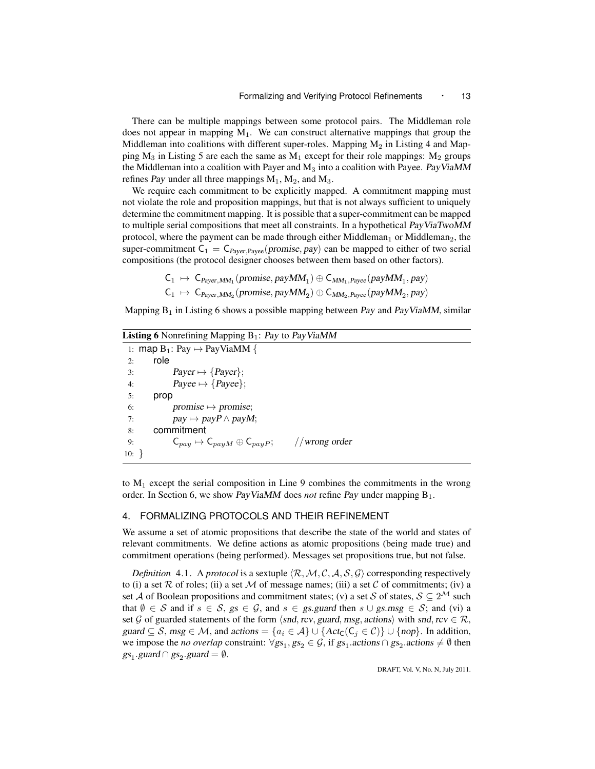There can be multiple mappings between some protocol pairs. The Middleman role does not appear in mapping  $M_1$ . We can construct alternative mappings that group the Middleman into coalitions with different super-roles. Mapping  $M_2$  in Listing 4 and Mapping  $M_3$  in Listing 5 are each the same as  $M_1$  except for their role mappings:  $M_2$  groups the Middleman into a coalition with Payer and  $M_3$  into a coalition with Payee. PayViaMM refines Pay under all three mappings  $M_1$ ,  $M_2$ , and  $M_3$ .

We require each commitment to be explicitly mapped. A commitment mapping must not violate the role and proposition mappings, but that is not always sufficient to uniquely determine the commitment mapping. It is possible that a super-commitment can be mapped to multiple serial compositions that meet all constraints. In a hypothetical PayViaTwoMM protocol, where the payment can be made through either Middleman<sub>1</sub> or Middleman<sub>2</sub>, the super-commitment  $C_1 = C_{Payer,Page}(promise, pay)$  can be mapped to either of two serial compositions (the protocol designer chooses between them based on other factors).

$$
C_1 \rightarrow C_{Payer, MM_1}(promise, payMM_1) \oplus C_{MM_1, Page}(payMM_1, pay)
$$
  

$$
C_1 \rightarrow C_{Payer, MM_2}(promise, payMM_2) \oplus C_{MM_2, Page}(payMM_2, pay)
$$

Mapping  $B_1$  in Listing 6 shows a possible mapping between Pay and PayViaMM, similar

**Listing 6** Nonrefining Mapping  $B_1$ : Pay to PayViaMM 1: map  $B_1$ : Pay  $\mapsto$  PayViaMM { 2: role 3:  $Payer \mapsto \{Payer\};$ 4:  $Payee \mapsto \{Payee\};$ 5: prop 6: promise  $\mapsto$  promise; 7:  $pay \mapsto payP \wedge payM;$ 8: commitment 9:  $\mathsf{C}_{pay} \mapsto \mathsf{C}_{payM} \oplus \mathsf{C}_{payP}$ ; //wrong order 10: }

to  $M_1$  except the serial composition in Line 9 combines the commitments in the wrong order. In Section 6, we show PayViaMM does *not* refine Pay under mapping B<sub>1</sub>.

## 4. FORMALIZING PROTOCOLS AND THEIR REFINEMENT

We assume a set of atomic propositions that describe the state of the world and states of relevant commitments. We define actions as atomic propositions (being made true) and commitment operations (being performed). Messages set propositions true, but not false.

*Definition* 4.1. A *protocol* is a sextuple  $\langle R, M, C, A, S, G \rangle$  corresponding respectively to (i) a set R of roles; (ii) a set M of message names; (iii) a set C of commitments; (iv) a set A of Boolean propositions and commitment states; (v) a set S of states,  $S \subseteq 2^{\mathcal{M}}$  such that  $\emptyset \in S$  and if  $s \in S$ ,  $gs \in G$ , and  $s \in gs$ . guard then  $s \cup gs$ . msg  $\in S$ ; and (vi) a set G of guarded statements of the form  $\langle$ snd, rcv, guard, msg, actions $\rangle$  with snd, rcv  $\in \mathcal{R}$ , guard  $\subseteq$  S, msg  $\in$  M, and actions = { $a_i \in A$ }  $\cup$  {Act<sub>C</sub>(C<sub>j</sub>  $\in$  C)}  $\cup$  {nop}. In addition, we impose the *no overlap* constraint:  $\forall gs_1, gs_2 \in \mathcal{G}$ , if  $gs_1$  actions  $\cap gs_2$  actions  $\neq \emptyset$  then  $gs_1$ .guard ∩  $gs_2$ .guard =  $\emptyset$ .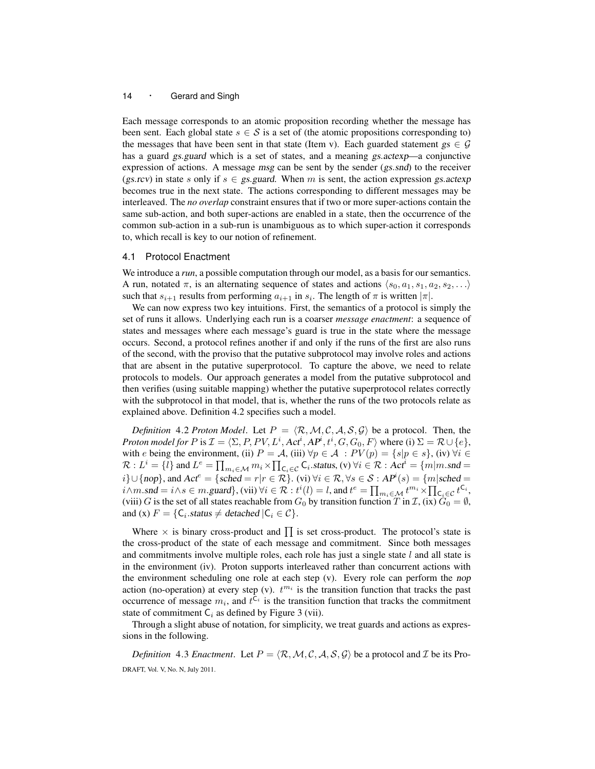Each message corresponds to an atomic proposition recording whether the message has been sent. Each global state  $s \in S$  is a set of (the atomic propositions corresponding to) the messages that have been sent in that state (Item v). Each guarded statement  $gs \in \mathcal{G}$ has a guard gs.guard which is a set of states, and a meaning gs.actexp—a conjunctive expression of actions. A message msg can be sent by the sender (gs.snd) to the receiver (gs.rcv) in state s only if  $s \in gs$  gasguard. When m is sent, the action expression gs.actexp becomes true in the next state. The actions corresponding to different messages may be interleaved. The *no overlap* constraint ensures that if two or more super-actions contain the same sub-action, and both super-actions are enabled in a state, then the occurrence of the common sub-action in a sub-run is unambiguous as to which super-action it corresponds to, which recall is key to our notion of refinement.

## 4.1 Protocol Enactment

We introduce a *run*, a possible computation through our model, as a basis for our semantics. A run, notated  $\pi$ , is an alternating sequence of states and actions  $\langle s_0, a_1, s_1, a_2, s_2, \ldots \rangle$ such that  $s_{i+1}$  results from performing  $a_{i+1}$  in  $s_i$ . The length of  $\pi$  is written  $|\pi|$ .

We can now express two key intuitions. First, the semantics of a protocol is simply the set of runs it allows. Underlying each run is a coarser *message enactment*: a sequence of states and messages where each message's guard is true in the state where the message occurs. Second, a protocol refines another if and only if the runs of the first are also runs of the second, with the proviso that the putative subprotocol may involve roles and actions that are absent in the putative superprotocol. To capture the above, we need to relate protocols to models. Our approach generates a model from the putative subprotocol and then verifies (using suitable mapping) whether the putative superprotocol relates correctly with the subprotocol in that model, that is, whether the runs of the two protocols relate as explained above. Definition 4.2 specifies such a model.

*Definition* 4.2 *Proton Model.* Let  $P = \langle \mathcal{R}, \mathcal{M}, \mathcal{C}, \mathcal{A}, \mathcal{S}, \mathcal{G} \rangle$  be a protocol. Then, the *Proton model for*  $P$  is  $\mathcal{I} = \langle \Sigma, P, PV, L^i, Act^i, AP^i, t^i, G, G_0, F \rangle$  where (i)  $\Sigma = \mathcal{R} \cup \{e\},$ with e being the environment, (ii)  $P = A$ , (iii)  $\forall p \in A : PV(p) = \{s | p \in s\}$ , (iv)  $\forall i \in A$  $\mathcal{R}: L^i = \{l\}$  and  $L^e = \prod_{m_i \in \mathcal{M}} m_i \times \prod_{\mathsf{C}_i \in \mathcal{C}} \mathsf{C}_i$  status, (v)  $\forall i \in \mathcal{R}: Act^i = \{m | m .\text{snd} = \emptyset\}$ *i*}∪{nop}, and  $Act^e = {sched = r | r \in \mathcal{R}}.$  (vi)  $\forall i \in \mathcal{R}, \forall s \in \mathcal{S} : AP^i(s) = {m | sched =$  $i \wedge m$ .snd  $= i \wedge s \in m$ .guard $\},$  (vii)  $\forall i \in \mathcal{R} : t^i(l) = l$ , and  $t^e = \prod_{m_i \in \mathcal{M}} t^{m_i} \times \prod_{C_i \in \mathcal{C}} t^{C_i}$ , (viii) G is the set of all states reachable from  $G_0$  by transition function T in  $\mathcal{I}$ , (ix)  $\widetilde{G_0} = \emptyset$ , and (x)  $F = \{C_i \cdot status \neq detached \mid C_i \in C\}.$ 

Where  $\times$  is binary cross-product and  $\prod$  is set cross-product. The protocol's state is the cross-product of the state of each message and commitment. Since both messages and commitments involve multiple roles, each role has just a single state  $l$  and all state is in the environment (iv). Proton supports interleaved rather than concurrent actions with the environment scheduling one role at each step (v). Every role can perform the nop action (no-operation) at every step (v).  $t^{m_i}$  is the transition function that tracks the past occurrence of message  $m_i$ , and  $t^{C_i}$  is the transition function that tracks the commitment state of commitment  $C_i$  as defined by Figure 3 (vii).

Through a slight abuse of notation, for simplicity, we treat guards and actions as expressions in the following.

*Definition* 4.3 *Enactment*. Let  $P = \langle \mathcal{R}, \mathcal{M}, \mathcal{C}, \mathcal{A}, \mathcal{S}, \mathcal{G} \rangle$  be a protocol and I be its Pro-DRAFT, Vol. V, No. N, July 2011.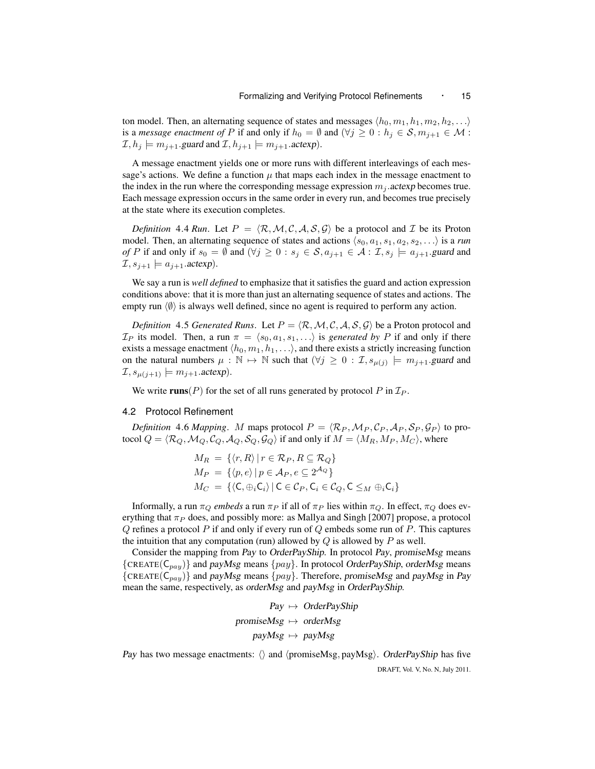ton model. Then, an alternating sequence of states and messages  $\langle h_0, m_1, h_1, m_2, h_2, \ldots \rangle$ is a *message enactment of* P if and only if  $h_0 = \emptyset$  and  $(\forall j \geq 0 : h_j \in S, m_{j+1} \in M)$ :  $\mathcal{I}, h_j \models m_{j+1}$  guard and  $\mathcal{I}, h_{j+1} \models m_{j+1}$  actexp).

A message enactment yields one or more runs with different interleavings of each message's actions. We define a function  $\mu$  that maps each index in the message enactment to the index in the run where the corresponding message expression  $m_i$  actexp becomes true. Each message expression occurs in the same order in every run, and becomes true precisely at the state where its execution completes.

*Definition* 4.4 *Run*. Let  $P = \langle R, M, C, A, S, G \rangle$  be a protocol and *I* be its Proton model. Then, an alternating sequence of states and actions  $\langle s_0, a_1, s_1, a_2, s_2, \ldots \rangle$  is a *run of* P if and only if  $s_0 = \emptyset$  and  $(\forall j \geq 0 : s_j \in S, a_{j+1} \in A : I, s_j \models a_{j+1}$  guard and  $\mathcal{I}, s_{j+1} \models a_{j+1}.\text{accept}$ .

We say a run is *well defined* to emphasize that it satisfies the guard and action expression conditions above: that it is more than just an alternating sequence of states and actions. The empty run  $\langle \emptyset \rangle$  is always well defined, since no agent is required to perform any action.

*Definition* 4.5 *Generated Runs*. Let  $P = \langle R, M, C, A, S, G \rangle$  be a Proton protocol and  $\mathcal{I}_P$  its model. Then, a run  $\pi = \langle s_0, a_1, s_1, \ldots \rangle$  is *generated by* P if and only if there exists a message enactment  $\langle h_0, m_1, h_1, \ldots \rangle$ , and there exists a strictly increasing function on the natural numbers  $\mu : \mathbb{N} \to \mathbb{N}$  such that  $(\forall j \geq 0 : \mathcal{I}, s_{\mu(j)}) = m_{j+1}$  guard and  $\mathcal{I}, s_{\mu(j+1)} \models m_{j+1}.\text{accept}.$ 

We write runs(P) for the set of all runs generated by protocol P in  $\mathcal{I}_P$ .

#### 4.2 Protocol Refinement

*Definition* 4.6 *Mapping*. *M* maps protocol  $P = \langle \mathcal{R}_P, \mathcal{M}_P, \mathcal{C}_P, \mathcal{A}_P, \mathcal{S}_P, \mathcal{G}_P \rangle$  to protocol  $Q = \langle \mathcal{R}_Q, \mathcal{M}_Q, \mathcal{C}_Q, \mathcal{A}_Q, \mathcal{S}_Q, \mathcal{G}_Q \rangle$  if and only if  $M = \langle M_R, M_P, M_C \rangle$ , where

$$
M_R = \{ \langle r, R \rangle \mid r \in \mathcal{R}_P, R \subseteq \mathcal{R}_Q \}
$$
  
\n
$$
M_P = \{ \langle p, e \rangle \mid p \in \mathcal{A}_P, e \subseteq 2^{\mathcal{A}_Q} \}
$$
  
\n
$$
M_C = \{ \langle C, \oplus_i C_i \rangle \mid C \in \mathcal{C}_P, C_i \in \mathcal{C}_Q, C \leq_M \oplus_i C_i \}
$$

Informally, a run  $\pi_Q$  *embeds* a run  $\pi_P$  if all of  $\pi_P$  lies within  $\pi_Q$ . In effect,  $\pi_Q$  does everything that  $\pi_P$  does, and possibly more: as Mallya and Singh [2007] propose, a protocol  $Q$  refines a protocol P if and only if every run of  $Q$  embeds some run of P. This captures the intuition that any computation (run) allowed by  $Q$  is allowed by  $P$  as well.

Consider the mapping from Pay to OrderPayShip. In protocol Pay, promiseMsg means  ${C_{pay}}$  and payMsg means  ${pay}$ . In protocol OrderPayShip, orderMsg means  ${C}$ REATE( $C_{pay}$ )} and payMsg means  ${pay}$ . Therefore, promiseMsg and payMsg in Pay mean the same, respectively, as orderMsg and payMsg in OrderPayShip.

$$
Pay \mapsto OrderPayShip
$$
  
promiseMsg  $\mapsto$  orderMsg  
payMsg  $\mapsto$  payMsg

Pay has two message enactments:  $\langle \rangle$  and  $\langle$  promiseMsg, payMsg $\rangle$ . OrderPayShip has five DRAFT, Vol. V, No. N, July 2011.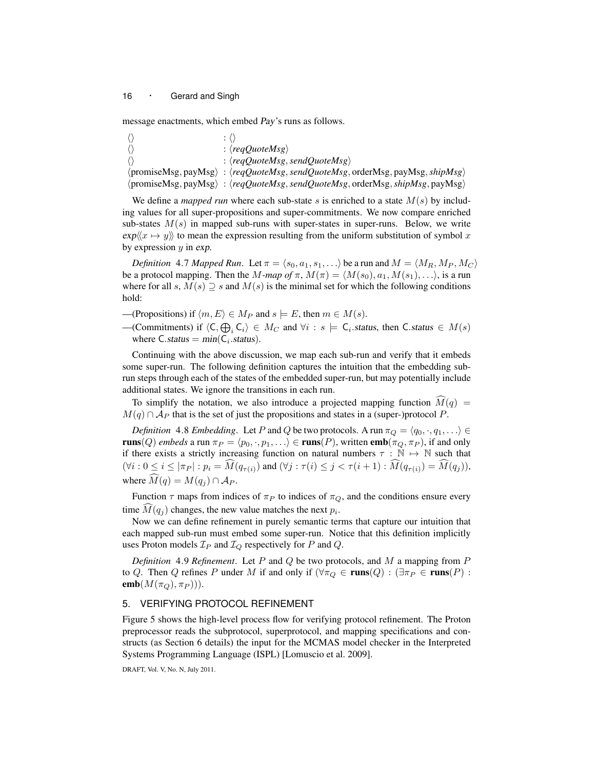message enactments, which embed Pay's runs as follows.

| : $\langle readQuoteMsg \rangle$                                                                                                                             |
|--------------------------------------------------------------------------------------------------------------------------------------------------------------|
| : $\langle \textit{reqQuoteMsg}, \textit{sendQuoteMsg} \rangle$                                                                                              |
| $\langle \text{promiseMsg}, \text{payMsg} \rangle : \langle \text{reqQuoteMsg}, \text{sendQuoteMsg}, \text{orderMsg}, \text{payMsg}, \text{shipMsg} \rangle$ |
| $\langle$ promiseMsg, payMsg $\rangle : \langle \text{reqQuoteMsg}, \text{sendQuoteMsg}, \text{orderMsg}, \text{shipMsg}, \text{payMsg}\rangle$              |

We define a *mapped run* where each sub-state s is enriched to a state  $M(s)$  by including values for all super-propositions and super-commitments. We now compare enriched sub-states  $M(s)$  in mapped sub-runs with super-states in super-runs. Below, we write  $exp\langle x \mapsto y \rangle$  to mean the expression resulting from the uniform substitution of symbol x by expression  $y$  in exp.

*Definition* 4.7 *Mapped Run*. Let  $\pi = \langle s_0, a_1, s_1, \ldots \rangle$  be a run and  $M = \langle M_R, M_P, M_C \rangle$ be a protocol mapping. Then the M-map of  $\pi$ ,  $M(\pi) = \langle M(s_0), a_1, M(s_1), \ldots \rangle$ , is a run where for all s,  $M(s) \supseteq s$  and  $M(s)$  is the minimal set for which the following conditions hold:

- —(Propositions) if  $\langle m, E \rangle \in M_P$  and  $s \models E$ , then  $m \in M(s)$ .
- —(Commitments) if  $\langle C, \bigoplus_i C_i \rangle \in M_C$  and  $\forall i : s \models C_i$  status, then C status  $\in M(s)$ where  $C$  status =  $min(C_i$  status).

Continuing with the above discussion, we map each sub-run and verify that it embeds some super-run. The following definition captures the intuition that the embedding subrun steps through each of the states of the embedded super-run, but may potentially include additional states. We ignore the transitions in each run.

To simplify the notation, we also introduce a projected mapping function  $M(q)$  =  $M(q) \cap A_P$  that is the set of just the propositions and states in a (super-)protocol P.

*Definition* 4.8 *Embedding*. Let P and Q be two protocols. A run  $\pi_Q = \langle q_0, \cdot, q_1, \ldots \rangle \in$ **runs**(*Q*) *embeds* a run  $\pi_P = \langle p_0, \cdot, p_1, \ldots \rangle \in \text{runs}(P)$ , written  $\text{emb}(\pi_Q, \pi_P)$ , if and only if there exists a strictly increasing function on natural numbers  $\tau : \mathbb{N} \mapsto \mathbb{N}$  such that  $(\forall i: 0 \le i \le |\pi_P| : p_i = \widehat{M}(q_{\tau(i)})$  and  $(\forall j: \tau(i) \le j < \tau(i+1) : \widehat{M}(q_{\tau(i)}) = \widehat{M}(q_j)),$ where  $\widehat{M}(q) = M(q_i) \cap A_P$ .

Function  $\tau$  maps from indices of  $\pi_P$  to indices of  $\pi_Q$ , and the conditions ensure every time  $M(q_j)$  changes, the new value matches the next  $p_i$ .

Now we can define refinement in purely semantic terms that capture our intuition that each mapped sub-run must embed some super-run. Notice that this definition implicitly uses Proton models  $\mathcal{I}_P$  and  $\mathcal{I}_Q$  respectively for P and Q.

*Definition* 4.9 *Refinement*. Let P and Q be two protocols, and M a mapping from P to Q. Then Q refines P under M if and only if  $(\forall \pi_Q \in \text{runs}(Q) : (\exists \pi_P \in \text{runs}(P))$ :  $emb(M(\pi_Q), \pi_P))$ .

## 5. VERIFYING PROTOCOL REFINEMENT

Figure 5 shows the high-level process flow for verifying protocol refinement. The Proton preprocessor reads the subprotocol, superprotocol, and mapping specifications and constructs (as Section 6 details) the input for the MCMAS model checker in the Interpreted Systems Programming Language (ISPL) [Lomuscio et al. 2009].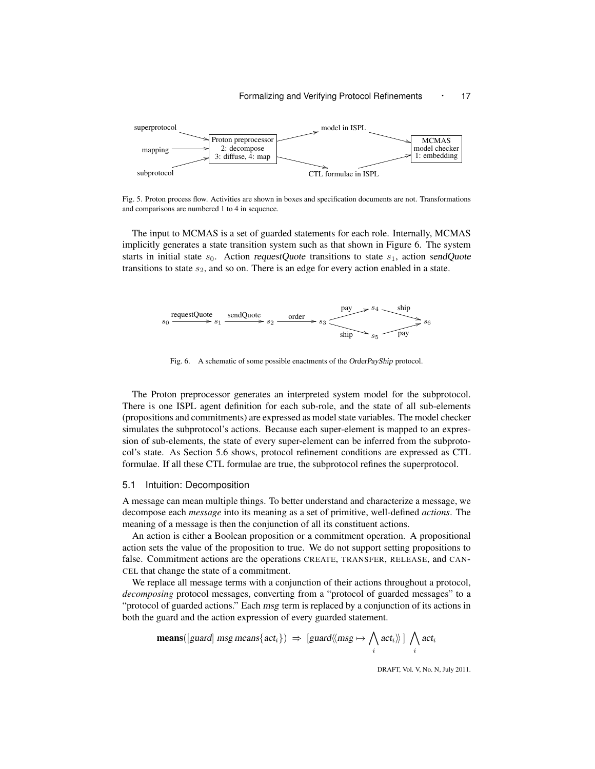#### Formalizing and Verifying Protocol Refinements • 17



Fig. 5. Proton process flow. Activities are shown in boxes and specification documents are not. Transformations and comparisons are numbered 1 to 4 in sequence.

The input to MCMAS is a set of guarded statements for each role. Internally, MCMAS implicitly generates a state transition system such as that shown in Figure 6. The system starts in initial state  $s_0$ . Action requestQuote transitions to state  $s_1$ , action sendQuote transitions to state  $s_2$ , and so on. There is an edge for every action enabled in a state.



Fig. 6. A schematic of some possible enactments of the OrderPayShip protocol.

The Proton preprocessor generates an interpreted system model for the subprotocol. There is one ISPL agent definition for each sub-role, and the state of all sub-elements (propositions and commitments) are expressed as model state variables. The model checker simulates the subprotocol's actions. Because each super-element is mapped to an expression of sub-elements, the state of every super-element can be inferred from the subprotocol's state. As Section 5.6 shows, protocol refinement conditions are expressed as CTL formulae. If all these CTL formulae are true, the subprotocol refines the superprotocol.

## 5.1 Intuition: Decomposition

A message can mean multiple things. To better understand and characterize a message, we decompose each *message* into its meaning as a set of primitive, well-defined *actions*. The meaning of a message is then the conjunction of all its constituent actions.

An action is either a Boolean proposition or a commitment operation. A propositional action sets the value of the proposition to true. We do not support setting propositions to false. Commitment actions are the operations CREATE, TRANSFER, RELEASE, and CAN-CEL that change the state of a commitment.

We replace all message terms with a conjunction of their actions throughout a protocol, *decomposing* protocol messages, converting from a "protocol of guarded messages" to a "protocol of guarded actions." Each msg term is replaced by a conjunction of its actions in both the guard and the action expression of every guarded statement.

**means**([guard] msg means{act<sub>i</sub>}) 
$$
\Rightarrow
$$
 [guard $\langle$ msg  $\mapsto \bigwedge_i act_i \rangle$ ]  $\bigwedge_i act_i$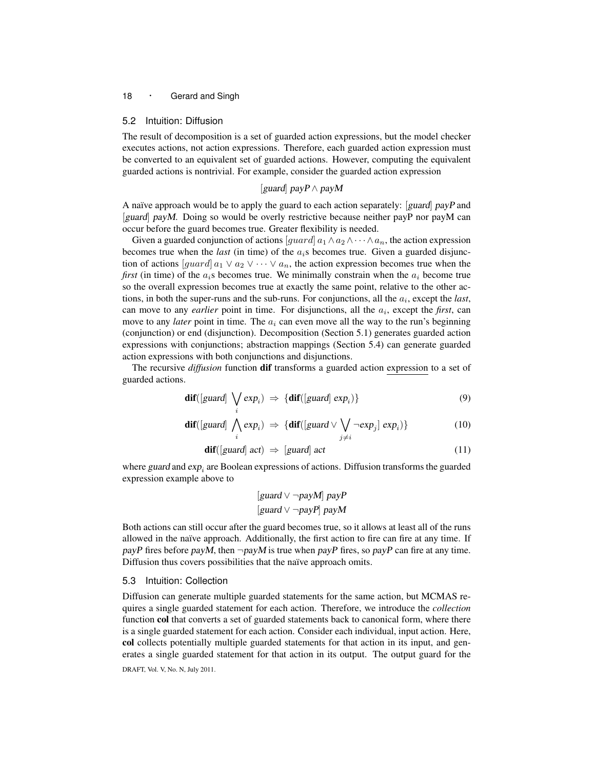#### 5.2 Intuition: Diffusion

The result of decomposition is a set of guarded action expressions, but the model checker executes actions, not action expressions. Therefore, each guarded action expression must be converted to an equivalent set of guarded actions. However, computing the equivalent guarded actions is nontrivial. For example, consider the guarded action expression

## [guard]  $payP \wedge payM$

A naïve approach would be to apply the guard to each action separately: [guard] payP and [guard] payM. Doing so would be overly restrictive because neither payP nor payM can occur before the guard becomes true. Greater flexibility is needed.

Given a guarded conjunction of actions  $[guard]$   $a_1 \wedge a_2 \wedge \cdots \wedge a_n$ , the action expression becomes true when the *last* (in time) of the  $a_i$ s becomes true. Given a guarded disjunction of actions  $[guard]$   $a_1 \vee a_2 \vee \cdots \vee a_n$ , the action expression becomes true when the *first* (in time) of the  $a_i$ s becomes true. We minimally constrain when the  $a_i$  become true so the overall expression becomes true at exactly the same point, relative to the other actions, in both the super-runs and the sub-runs. For conjunctions, all the  $a_i$ , except the *last*, can move to any *earlier* point in time. For disjunctions, all the  $a_i$ , except the *first*, can move to any *later* point in time. The  $a_i$  can even move all the way to the run's beginning (conjunction) or end (disjunction). Decomposition (Section 5.1) generates guarded action expressions with conjunctions; abstraction mappings (Section 5.4) can generate guarded action expressions with both conjunctions and disjunctions.

The recursive *diffusion* function dif transforms a guarded action expression to a set of guarded actions.

$$
\text{dif}([guard] \bigvee_i exp_i) \Rightarrow \{\text{dif}([guard] exp_i)\}\tag{9}
$$

$$
\text{dif}([guard] \bigwedge_i \exp_i) \Rightarrow \{\text{dif}([guard \vee \bigvee_{j \neq i} \neg \exp_j] \exp_i)\}\
$$
 (10)

$$
\text{dif}([guard] \text{ act}) \Rightarrow [guard] \text{ act} \tag{11}
$$

where guard and  $exp_i$  are Boolean expressions of actions. Diffusion transforms the guarded expression example above to

$$
[guard \lor \neg payM] \ payP
$$

$$
[guard \lor \neg payP] \ payM
$$

Both actions can still occur after the guard becomes true, so it allows at least all of the runs allowed in the naïve approach. Additionally, the first action to fire can fire at any time. If payP fires before payM, then  $\neg$ payM is true when payP fires, so payP can fire at any time. Diffusion thus covers possibilities that the naïve approach omits.

#### 5.3 Intuition: Collection

Diffusion can generate multiple guarded statements for the same action, but MCMAS requires a single guarded statement for each action. Therefore, we introduce the *collection* function col that converts a set of guarded statements back to canonical form, where there is a single guarded statement for each action. Consider each individual, input action. Here, col collects potentially multiple guarded statements for that action in its input, and generates a single guarded statement for that action in its output. The output guard for the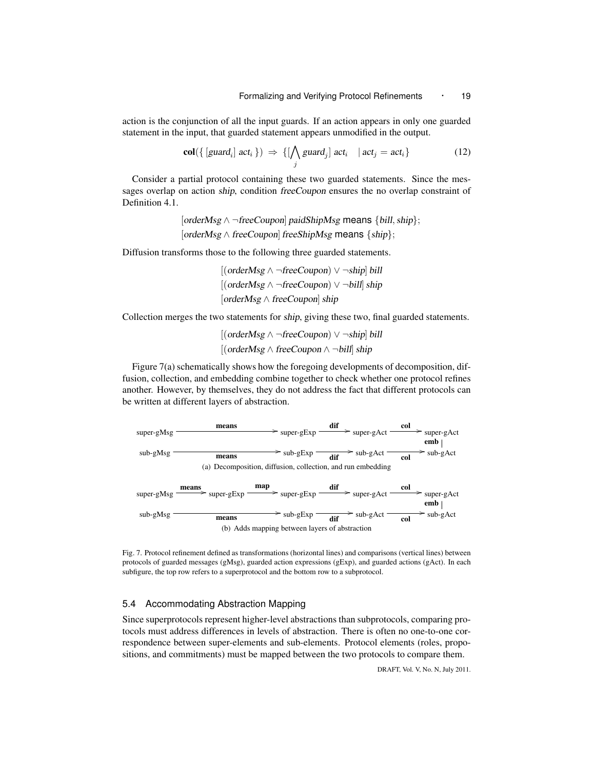action is the conjunction of all the input guards. If an action appears in only one guarded statement in the input, that guarded statement appears unmodified in the output.

$$
\textbf{col}(\{\text{[guard}_i\}\text{ act}_i\}) \Rightarrow \{\lbrack \bigwedge_j \text{guard}_j\text{ } \text{ act}_i \quad | \text{ act}_j = \text{act}_i\} \tag{12}
$$

Consider a partial protocol containing these two guarded statements. Since the messages overlap on action ship, condition freeCoupon ensures the no overlap constraint of Definition 4.1.

> [orderMsg  $\land \neg$  free Coupon] paidShipMsg means {bill, ship}; [orderMsg ∧ freeCoupon] freeShipMsg means {ship};

Diffusion transforms those to the following three guarded statements.

[(orderMsg ∧ ¬freeCoupon) ∨ ¬ship] bill [(orderMsg ∧ ¬freeCoupon) ∨ ¬bill]ship [orderMsg ∧ freeCoupon] ship

Collection merges the two statements for ship, giving these two, final guarded statements.

[(orderMsg ∧ ¬freeCoupon) ∨ ¬ship] bill [(orderMsg ∧ freeCoupon ∧ ¬bill]ship

Figure 7(a) schematically shows how the foregoing developments of decomposition, diffusion, collection, and embedding combine together to check whether one protocol refines another. However, by themselves, they do not address the fact that different protocols can be written at different layers of abstraction.



Fig. 7. Protocol refinement defined as transformations (horizontal lines) and comparisons (vertical lines) between protocols of guarded messages (gMsg), guarded action expressions (gExp), and guarded actions (gAct). In each subfigure, the top row refers to a superprotocol and the bottom row to a subprotocol.

## 5.4 Accommodating Abstraction Mapping

Since superprotocols represent higher-level abstractions than subprotocols, comparing protocols must address differences in levels of abstraction. There is often no one-to-one correspondence between super-elements and sub-elements. Protocol elements (roles, propositions, and commitments) must be mapped between the two protocols to compare them.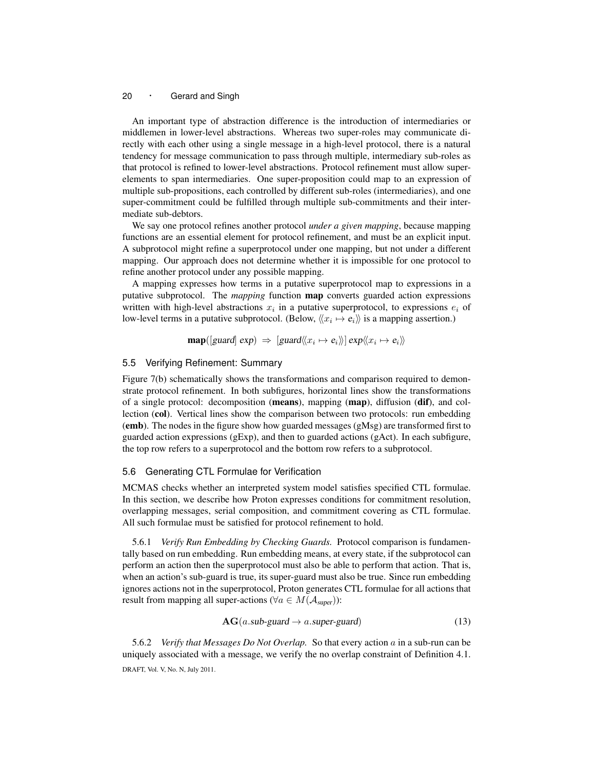An important type of abstraction difference is the introduction of intermediaries or middlemen in lower-level abstractions. Whereas two super-roles may communicate directly with each other using a single message in a high-level protocol, there is a natural tendency for message communication to pass through multiple, intermediary sub-roles as that protocol is refined to lower-level abstractions. Protocol refinement must allow superelements to span intermediaries. One super-proposition could map to an expression of multiple sub-propositions, each controlled by different sub-roles (intermediaries), and one super-commitment could be fulfilled through multiple sub-commitments and their intermediate sub-debtors.

We say one protocol refines another protocol *under a given mapping*, because mapping functions are an essential element for protocol refinement, and must be an explicit input. A subprotocol might refine a superprotocol under one mapping, but not under a different mapping. Our approach does not determine whether it is impossible for one protocol to refine another protocol under any possible mapping.

A mapping expresses how terms in a putative superprotocol map to expressions in a putative subprotocol. The *mapping* function map converts guarded action expressions written with high-level abstractions  $x_i$  in a putative superprotocol, to expressions  $e_i$  of low-level terms in a putative subprotocol. (Below,  $\langle x_i \mapsto e_i \rangle$ ) is a mapping assertion.)

$$
\mathbf{map}([\mathit{guard}]\ \mathit{exp}) \ \Rightarrow \ [\mathit{guard}\langle\langle x_i \mapsto e_i \rangle\rangle] \ \mathit{exp}\langle\langle x_i \mapsto e_i \rangle\rangle
$$

## 5.5 Verifying Refinement: Summary

Figure 7(b) schematically shows the transformations and comparison required to demonstrate protocol refinement. In both subfigures, horizontal lines show the transformations of a single protocol: decomposition (means), mapping (map), diffusion (dif), and collection (col). Vertical lines show the comparison between two protocols: run embedding (emb). The nodes in the figure show how guarded messages (gMsg) are transformed first to guarded action expressions (gExp), and then to guarded actions (gAct). In each subfigure, the top row refers to a superprotocol and the bottom row refers to a subprotocol.

#### 5.6 Generating CTL Formulae for Verification

MCMAS checks whether an interpreted system model satisfies specified CTL formulae. In this section, we describe how Proton expresses conditions for commitment resolution, overlapping messages, serial composition, and commitment covering as CTL formulae. All such formulae must be satisfied for protocol refinement to hold.

5.6.1 *Verify Run Embedding by Checking Guards.* Protocol comparison is fundamentally based on run embedding. Run embedding means, at every state, if the subprotocol can perform an action then the superprotocol must also be able to perform that action. That is, when an action's sub-guard is true, its super-guard must also be true. Since run embedding ignores actions not in the superprotocol, Proton generates CTL formulae for all actions that result from mapping all super-actions ( $\forall a \in M(\mathcal{A}_{super})$ ):

$$
AG(a.sub-guard \to a.support-guard)
$$
 (13)

5.6.2 *Verify that Messages Do Not Overlap.* So that every action a in a sub-run can be uniquely associated with a message, we verify the no overlap constraint of Definition 4.1. DRAFT, Vol. V, No. N, July 2011.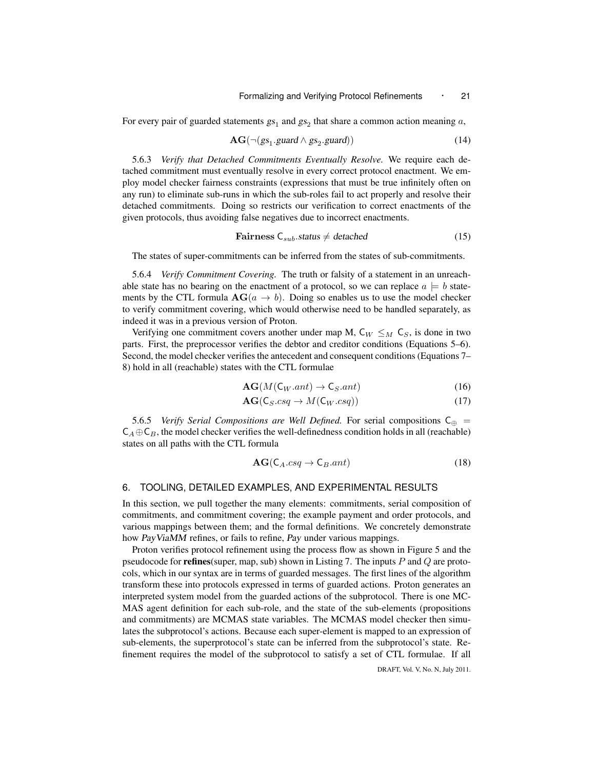For every pair of guarded statements  $gs_1$  and  $gs_2$  that share a common action meaning a,

$$
AG(\neg (gs_1.guard \land gs_2.guard)) \tag{14}
$$

5.6.3 *Verify that Detached Commitments Eventually Resolve.* We require each detached commitment must eventually resolve in every correct protocol enactment. We employ model checker fairness constraints (expressions that must be true infinitely often on any run) to eliminate sub-runs in which the sub-roles fail to act properly and resolve their detached commitments. Doing so restricts our verification to correct enactments of the given protocols, thus avoiding false negatives due to incorrect enactments.

$$
Fairness Csub.status \neq detached
$$
 (15)

The states of super-commitments can be inferred from the states of sub-commitments.

5.6.4 *Verify Commitment Covering.* The truth or falsity of a statement in an unreachable state has no bearing on the enactment of a protocol, so we can replace  $a \models b$  statements by the CTL formula  $AG(a \rightarrow b)$ . Doing so enables us to use the model checker to verify commitment covering, which would otherwise need to be handled separately, as indeed it was in a previous version of Proton.

Verifying one commitment covers another under map M,  $C_W \leq_M C_S$ , is done in two parts. First, the preprocessor verifies the debtor and creditor conditions (Equations 5–6). Second, the model checker verifies the antecedent and consequent conditions (Equations 7– 8) hold in all (reachable) states with the CTL formulae

$$
\mathbf{AG}(M(\mathsf{C}_W.ant) \to \mathsf{C}_S.ant) \tag{16}
$$

$$
\mathbf{AG}(C_S.csq \to M(C_W.csq)) \tag{17}
$$

5.6.5 *Verify Serial Compositions are Well Defined.* For serial compositions  $C_{\oplus}$  =  $C_A \oplus C_B$ , the model checker verifies the well-definedness condition holds in all (reachable) states on all paths with the CTL formula

$$
\mathbf{AG}(\mathsf{C}_A.csq \to \mathsf{C}_B.ant) \tag{18}
$$

## 6. TOOLING, DETAILED EXAMPLES, AND EXPERIMENTAL RESULTS

In this section, we pull together the many elements: commitments, serial composition of commitments, and commitment covering; the example payment and order protocols, and various mappings between them; and the formal definitions. We concretely demonstrate how PayViaMM refines, or fails to refine, Pay under various mappings.

Proton verifies protocol refinement using the process flow as shown in Figure 5 and the pseudocode for **refines**(super, map, sub) shown in Listing 7. The inputs  $P$  and  $Q$  are protocols, which in our syntax are in terms of guarded messages. The first lines of the algorithm transform these into protocols expressed in terms of guarded actions. Proton generates an interpreted system model from the guarded actions of the subprotocol. There is one MC-MAS agent definition for each sub-role, and the state of the sub-elements (propositions and commitments) are MCMAS state variables. The MCMAS model checker then simulates the subprotocol's actions. Because each super-element is mapped to an expression of sub-elements, the superprotocol's state can be inferred from the subprotocol's state. Refinement requires the model of the subprotocol to satisfy a set of CTL formulae. If all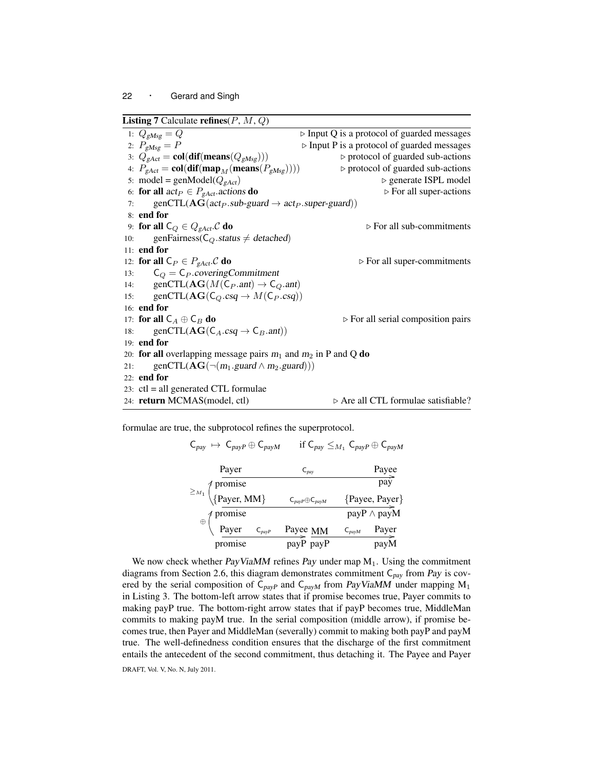**Listing 7** Calculate refines( $P, M, Q$ )

1:  $Q_{gMsg} = Q$   $\triangleright$  Input Q is a protocol of guarded messages 2:  $P_{gMsg} = P$   $\triangleright$  Input P is a protocol of guarded messages 3:  $Q_{\text{gAct}} = \text{col}(\text{dif}(\text{means}(Q_{\text{gMsg}})))$   $\triangleright$  protocol of guarded sub-actions 4:  $P_{\text{gAct}} = \text{col}(\text{dif}(\text{map}_M(\text{means}(P_{\text{gMsg}}))))$   $\triangleright$  protocol of guarded sub-actions 5: model = genModel( $Q_{\text{gAct}}$ )  $\triangleright$  generate ISPL model 6: for all  $act_P \in P_{gAct}$  actions do .  $\triangleright$  For all super-actions 7: genCTL( $\overrightarrow{\text{AG}}(act_P.sub\text{-}guard \rightarrow act_P.support\text{-}guard)$ ) 8: end for 9: for all  $C_Q \in Q_{\text{gAct}}$ .  $\mathcal C$  do  $\triangleright$  For all sub-commitments 10: genFairness( $C_Q$ .status  $\neq$  detached) 11: end for 12: for all  $C_P \in P_{\text{gAct}}$ .  $\mathcal C$  do  $\triangleright$  For all super-commitments 13:  $C_Q = C_P$  .covering Commitment 14: genCTL( $\mathbf{AG}(M(\mathsf{C}_P.\mathsf{ant}) \to \mathsf{C}_Q.\mathsf{ant})$ 15: genCTL( $AG(C_Q.csq \rightarrow M(C_P.csq))$ 16: end for 17: **for all**  $C_A \oplus C_B$  **do**  $\triangleright$  For all serial composition pairs 18: genCTL( $AG(C_A.csq \rightarrow C_B.ant)$ ) 19: end for 20: for all overlapping message pairs  $m_1$  and  $m_2$  in P and Q do 21: genCTL( $AG(\neg(m_1.guard \land m_2.guard)))$ 22: end for 23:  $ctl = all generated CTL formulae$ 24: **return** MCMAS(model, ctl)  $\triangleright$  Are all CTL formulae satisfiable?

formulae are true, the subprotocol refines the superprotocol.

 $\mathsf{C}_{\textit{pay}} \mapsto \mathsf{C}_{\textit{payP}} \oplus \mathsf{C}_{\textit{payM}}$  if  $\mathsf{C}_{\textit{pay}} \leq_{M_1} \mathsf{C}_{\textit{payP}} \oplus \mathsf{C}_{\textit{payM}}$ Payer  $C_{pay}$  Payee promise  $\overrightarrow{pay}$  ${Payer, MM}$   $C_{payP} \oplus C_{payM}$   ${Payee, Payer}$ promise  $\frac{1}{\text{payP} \wedge \text{payM}}$  $\geq_{M_1}$ F<sub>F</sub> Payer C<sub>payP</sub> Payee  $\overrightarrow{p}$  promise  $\overrightarrow{p}$  payP  $\oplus$  Payer  $C_{payP}$  Payee MM  $C_{payM}$  Payer FF  $\frac{1}{\text{payP}}$  payM

We now check whether  $PayViaMM$  refines Pay under map  $M_1$ . Using the commitment diagrams from Section 2.6, this diagram demonstrates commitment  $C_{pav}$  from Pay is covered by the serial composition of  $C_{payP}$  and  $C_{payM}$  from PayViaMM under mapping M<sub>1</sub> in Listing 3. The bottom-left arrow states that if promise becomes true, Payer commits to making payP true. The bottom-right arrow states that if payP becomes true, MiddleMan commits to making payM true. In the serial composition (middle arrow), if promise becomes true, then Payer and MiddleMan (severally) commit to making both payP and payM true. The well-definedness condition ensures that the discharge of the first commitment entails the antecedent of the second commitment, thus detaching it. The Payee and Payer DRAFT, Vol. V, No. N, July 2011.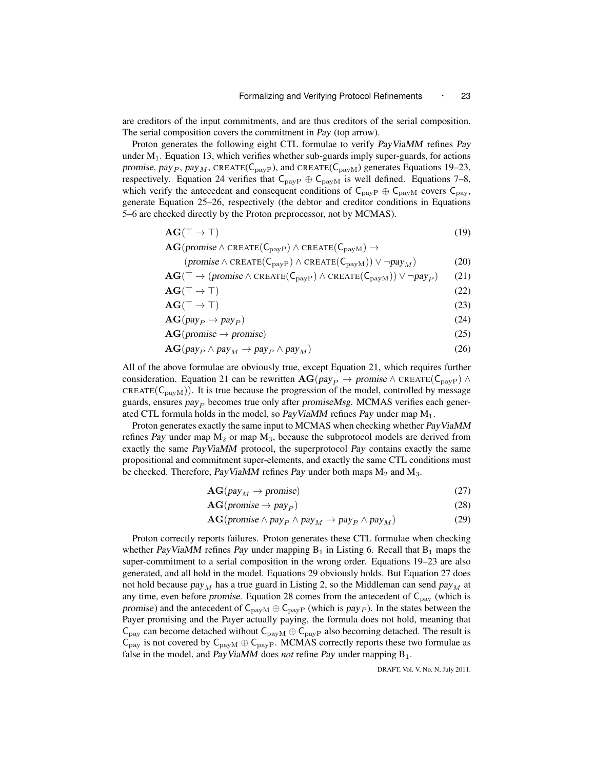are creditors of the input commitments, and are thus creditors of the serial composition. The serial composition covers the commitment in Pay (top arrow).

Proton generates the following eight CTL formulae to verify PayViaMM refines Pay under  $M_1$ . Equation 13, which verifies whether sub-guards imply super-guards, for actions promise, pay<sub>P</sub>, pay<sub>M</sub>, CREATE( $C_{payP}$ ), and CREATE( $C_{payM}$ ) generates Equations 19–23, respectively. Equation 24 verifies that  $C_{payP} \oplus C_{payM}$  is well defined. Equations 7–8, which verify the antecedent and consequent conditions of  $C_{payP} \oplus C_{payM}$  covers  $C_{pay}$ , generate Equation 25–26, respectively (the debtor and creditor conditions in Equations 5–6 are checked directly by the Proton preprocessor, not by MCMAS).

$$
AG(\top \to \top) \tag{19}
$$

 $AG(promise \wedge \text{CREATE}(\mathsf{C}_{\text{payP}}) \wedge \text{CREATE}(\mathsf{C}_{\text{payM}}) \rightarrow$ 

$$
(promise \land CREATE(C_{payP}) \land CREATE(C_{payM})) \lor \neg pay_M)
$$
 (20)

$$
AG(\top \to (promise \land cref(\mathcal{C}_{payP}) \land cref(\mathcal{C}_{payM})) \lor \neg pay_P)
$$
 (21)

$$
AG(\top \to \top) \tag{22}
$$

$$
\mathbf{AG}(\top \to \top) \tag{23}
$$
\n
$$
\mathbf{AG}(\text{new} \to \text{new}) \tag{24}
$$

$$
\begin{aligned} \mathbf{AG}(pay_P \to pay_P) \\ \mathbf{AG}(promise \to promise) \end{aligned} \tag{24}
$$

$$
A \cdot (promise \rightarrow promise) \tag{2}
$$

$$
\mathbf{AG}(pay_P \land pay_M \to pay_P \land pay_M) \tag{26}
$$

All of the above formulae are obviously true, except Equation 21, which requires further consideration. Equation 21 can be rewritten  $AG(pay_P \rightarrow promise \land CREATE(C_{payP}) \land$ CREATE( $C_{\text{pavM}}$ )). It is true because the progression of the model, controlled by message guards, ensures  $pay_P$  becomes true only after promiseMsg. MCMAS verifies each generated CTL formula holds in the model, so *PayViaMM* refines *Pay* under map  $M_1$ .

Proton generates exactly the same input to MCMAS when checking whether PayViaMM refines Pay under map  $M_2$  or map  $M_3$ , because the subprotocol models are derived from exactly the same PayViaMM protocol, the superprotocol Pay contains exactly the same propositional and commitment super-elements, and exactly the same CTL conditions must be checked. Therefore, PayViaMM refines Pay under both maps  $M_2$  and  $M_3$ .

$$
\text{AG}(pay_M \to \text{promise}) \tag{27}
$$

$$
\text{AG}(promise \to pay_P) \tag{28}
$$

$$
\text{AG}(promise \land pay_{P} \land pay_{M} \rightarrow pay_{P} \land pay_{M})
$$
\n(29)

Proton correctly reports failures. Proton generates these CTL formulae when checking whether PayViaMM refines Pay under mapping  $B_1$  in Listing 6. Recall that  $B_1$  maps the super-commitment to a serial composition in the wrong order. Equations 19–23 are also generated, and all hold in the model. Equations 29 obviously holds. But Equation 27 does not hold because  $pay_M$  has a true guard in Listing 2, so the Middleman can send  $pay_M$  at any time, even before promise. Equation 28 comes from the antecedent of  $C_{\text{pay}}$  (which is promise) and the antecedent of  $C_{\text{payM}} \oplus C_{\text{payP}}$  (which is  $pay_P$ ). In the states between the Payer promising and the Payer actually paying, the formula does not hold, meaning that  $C_{pay}$  can become detached without  $C_{payM} \oplus C_{payP}$  also becoming detached. The result is  $C_{pay}$  is not covered by  $C_{payM} \oplus C_{payP}$ . MCMAS correctly reports these two formulae as false in the model, and PayViaMM does *not* refine Pay under mapping  $B_1$ .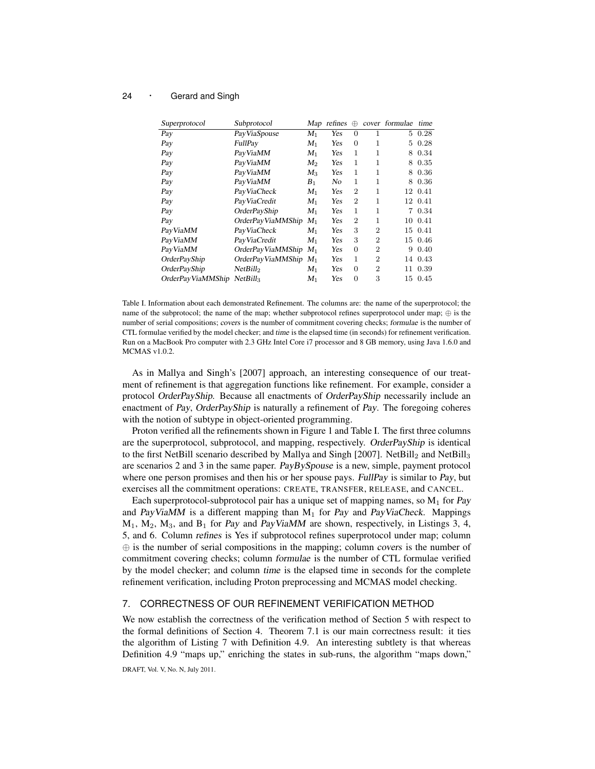| Superprotocol       | Subprotocol          |       | Map refines | $\oplus$       |                             | cover formulae | time        |
|---------------------|----------------------|-------|-------------|----------------|-----------------------------|----------------|-------------|
| Pay                 | PayViaSpouse         | $M_1$ | Yes         | $\Omega$       | 1                           |                | $5\ \ 0.28$ |
| Pay                 | FullPay              | $M_1$ | Yes         | $\theta$       | 1                           | 5              | 0.28        |
| Pay                 | PayViaMM             | $M_1$ | Yes         | 1              | 1                           | 8              | 0.34        |
| Pay                 | PayViaMM             | $M_2$ | Yes         | 1              | 1                           | 8              | 0.35        |
| Pay                 | PayViaMM             | $M_3$ | Yes         | 1              | 1                           | 8              | 0.36        |
| Pay                 | PayViaMM             | $B_1$ | No          | 1              | 1                           | 8              | 0.36        |
| Pay                 | PayViaCheck          | $M_1$ | Yes         | $\overline{2}$ | 1                           |                | 12 0.41     |
| Pay                 | PayViaCredit         | $M_1$ | Yes         | 2              | 1                           |                | 12 0.41     |
| Pay                 | OrderPayShip         | $M_1$ | Yes         | 1              | 1                           |                | 7 0.34      |
| Pay                 | OrderPayViaMMShip    | $M_1$ | Yes         | $\overline{2}$ | 1                           |                | 10 0.41     |
| PayViaMM            | PayViaCheck          | $M_1$ | Yes         | 3              | $\mathcal{D}_{\mathcal{L}}$ |                | 15 0.41     |
| PayViaMM            | PayViaCredit         | $M_1$ | Yes         | 3              | $\overline{2}$              |                | 15 0.46     |
| PayViaMM            | OrderPayViaMMShip    | $M_1$ | Yes         | $\overline{0}$ | $\overline{2}$              | 9              | 0.40        |
| OrderPayShip        | OrderPayViaMMShip    | $M_1$ | Yes         | 1              | $\overline{2}$              |                | 14 0.43     |
| <b>OrderPayShip</b> | NetBill <sub>2</sub> | $M_1$ | Yes         | $\Omega$       | $\overline{2}$              | 11             | 0.39        |
| OrderPayViaMMShip   | NetBill <sub>3</sub> | $M_1$ | Yes         | $\overline{0}$ | 3                           |                | 15 0.45     |

Table I. Information about each demonstrated Refinement. The columns are: the name of the superprotocol; the name of the subprotocol; the name of the map; whether subprotocol refines superprotocol under map;  $\oplus$  is the number of serial compositions; covers is the number of commitment covering checks; formulae is the number of CTL formulae verified by the model checker; and time is the elapsed time (in seconds) for refinement verification. Run on a MacBook Pro computer with 2.3 GHz Intel Core i7 processor and 8 GB memory, using Java 1.6.0 and MCMAS v1.0.2.

As in Mallya and Singh's [2007] approach, an interesting consequence of our treatment of refinement is that aggregation functions like refinement. For example, consider a protocol OrderPayShip. Because all enactments of OrderPayShip necessarily include an enactment of Pay, OrderPayShip is naturally a refinement of Pay. The foregoing coheres with the notion of subtype in object-oriented programming.

Proton verified all the refinements shown in Figure 1 and Table I. The first three columns are the superprotocol, subprotocol, and mapping, respectively. OrderPayShip is identical to the first NetBill scenario described by Mallya and Singh  $[2007]$ . NetBill<sub>2</sub> and NetBill<sub>3</sub> are scenarios 2 and 3 in the same paper. PayBySpouse is a new, simple, payment protocol where one person promises and then his or her spouse pays. FullPay is similar to Pay, but exercises all the commitment operations: CREATE, TRANSFER, RELEASE, and CANCEL.

Each superprotocol-subprotocol pair has a unique set of mapping names, so  $M_1$  for Pay and PayViaMM is a different mapping than  $M_1$  for Pay and PayViaCheck. Mappings  $M_1$ ,  $M_2$ ,  $M_3$ , and  $B_1$  for Pay and PayViaMM are shown, respectively, in Listings 3, 4, 5, and 6. Column refines is Yes if subprotocol refines superprotocol under map; column ⊕ is the number of serial compositions in the mapping; column covers is the number of commitment covering checks; column formulae is the number of CTL formulae verified by the model checker; and column time is the elapsed time in seconds for the complete refinement verification, including Proton preprocessing and MCMAS model checking.

## 7. CORRECTNESS OF OUR REFINEMENT VERIFICATION METHOD

We now establish the correctness of the verification method of Section 5 with respect to the formal definitions of Section 4. Theorem 7.1 is our main correctness result: it ties the algorithm of Listing 7 with Definition 4.9. An interesting subtlety is that whereas Definition 4.9 "maps up," enriching the states in sub-runs, the algorithm "maps down,"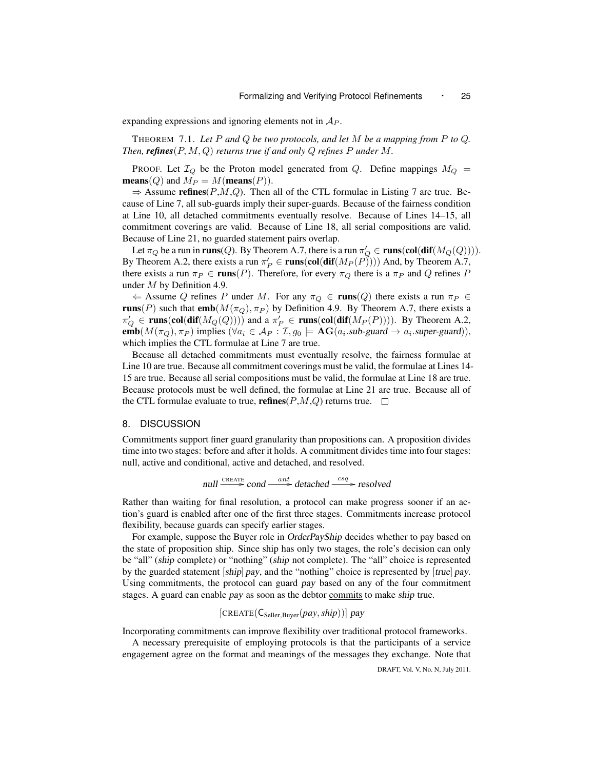expanding expressions and ignoring elements not in  $A_P$ .

THEOREM 7.1. *Let* P *and* Q *be two protocols, and let* M *be a mapping from* P *to* Q*. Then, refines*( $P, M, Q$ ) *returns true if and only*  $Q$  *refines*  $P$  *under*  $M$ *.* 

PROOF. Let  $\mathcal{I}_Q$  be the Proton model generated from Q. Define mappings  $M_Q =$ **means**(*Q*) and  $M_P = M$ (**means**(*P*)).

 $\Rightarrow$  Assume **refines**(P,M,Q). Then all of the CTL formulae in Listing 7 are true. Because of Line 7, all sub-guards imply their super-guards. Because of the fairness condition at Line 10, all detached commitments eventually resolve. Because of Lines 14–15, all commitment coverings are valid. Because of Line 18, all serial compositions are valid. Because of Line 21, no guarded statement pairs overlap.

Let  $\pi_Q$  be a run in **runs**(*Q*). By Theorem A.7, there is a run  $\pi'_Q \in \text{runs}(\text{col}(\text{dif}(M_Q(Q))))$ . By Theorem A.2, there exists a run  $\pi'_P \in \text{runs}(\text{col}(\text{dif}(M_P(P))))$  And, by Theorem A.7, there exists a run  $\pi_P \in \text{runs}(P)$ . Therefore, for every  $\pi_Q$  there is a  $\pi_P$  and Q refines P under M by Definition 4.9.

 $\Leftarrow$  Assume Q refines P under M. For any  $\pi_Q \in \text{runs}(Q)$  there exists a run  $\pi_P \in$ **runs**(P) such that **emb**( $M(\pi_Q), \pi_P$ ) by Definition 4.9. By Theorem A.7, there exists a  $\pi'_{Q} \in \text{runs}(\text{col}(\text{dif}(M_{Q}(Q))))$  and a  $\pi'_{P} \in \text{runs}(\text{col}(\text{dif}(M_{P}(P))))$ . By Theorem A.2,  $\mathbf{emb}(M(\pi_Q), \pi_P)$  implies  $(\forall a_i \in \mathcal{A}_P : \mathcal{I}, g_0 \models \mathbf{AG}(a_i.\mathsf{sub-guard} \rightarrow a_i.\mathsf{super-guard})),$ which implies the CTL formulae at Line 7 are true.

Because all detached commitments must eventually resolve, the fairness formulae at Line 10 are true. Because all commitment coverings must be valid, the formulae at Lines 14- 15 are true. Because all serial compositions must be valid, the formulae at Line 18 are true. Because protocols must be well defined, the formulae at Line 21 are true. Because all of the CTL formulae evaluate to true, **refines** $(P,M,Q)$  returns true.  $\Box$ 

## 8. DISCUSSION

Commitments support finer guard granularity than propositions can. A proposition divides time into two stages: before and after it holds. A commitment divides time into four stages: null, active and conditional, active and detached, and resolved.

$$
null \xrightarrow{CREATE} cond \xrightarrow{ant} detailed \xrightarrow{csq} resolved
$$

Rather than waiting for final resolution, a protocol can make progress sooner if an action's guard is enabled after one of the first three stages. Commitments increase protocol flexibility, because guards can specify earlier stages.

For example, suppose the Buyer role in OrderPayShip decides whether to pay based on the state of proposition ship. Since ship has only two stages, the role's decision can only be "all" (ship complete) or "nothing" (ship not complete). The "all" choice is represented by the guarded statement [ship] pay, and the "nothing" choice is represented by [true] pay. Using commitments, the protocol can guard pay based on any of the four commitment stages. A guard can enable pay as soon as the debtor commits to make ship true.

$$
[{\rm{CREATE}}(C_{\rm{Selfer,Buyer}}(pay, ship))]
$$
 pay

Incorporating commitments can improve flexibility over traditional protocol frameworks.

A necessary prerequisite of employing protocols is that the participants of a service engagement agree on the format and meanings of the messages they exchange. Note that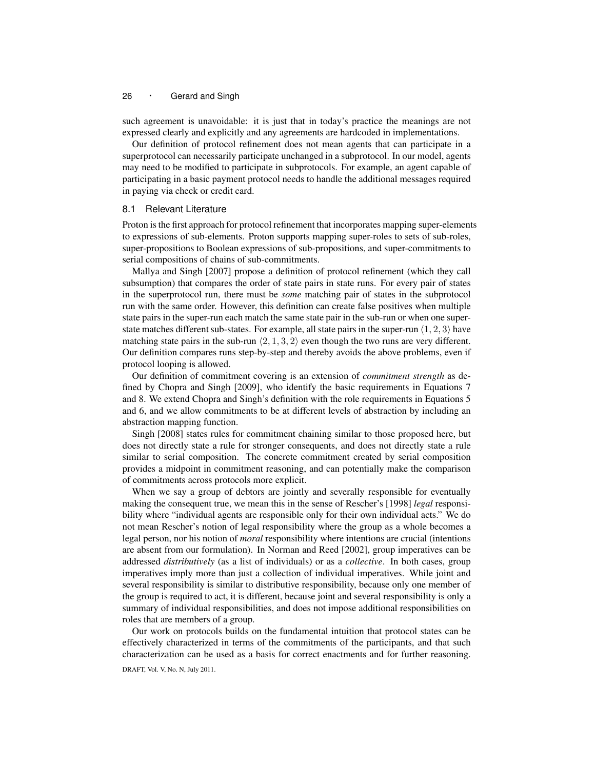such agreement is unavoidable: it is just that in today's practice the meanings are not expressed clearly and explicitly and any agreements are hardcoded in implementations.

Our definition of protocol refinement does not mean agents that can participate in a superprotocol can necessarily participate unchanged in a subprotocol. In our model, agents may need to be modified to participate in subprotocols. For example, an agent capable of participating in a basic payment protocol needs to handle the additional messages required in paying via check or credit card.

#### 8.1 Relevant Literature

Proton is the first approach for protocol refinement that incorporates mapping super-elements to expressions of sub-elements. Proton supports mapping super-roles to sets of sub-roles, super-propositions to Boolean expressions of sub-propositions, and super-commitments to serial compositions of chains of sub-commitments.

Mallya and Singh [2007] propose a definition of protocol refinement (which they call subsumption) that compares the order of state pairs in state runs. For every pair of states in the superprotocol run, there must be *some* matching pair of states in the subprotocol run with the same order. However, this definition can create false positives when multiple state pairs in the super-run each match the same state pair in the sub-run or when one superstate matches different sub-states. For example, all state pairs in the super-run  $\langle 1, 2, 3 \rangle$  have matching state pairs in the sub-run  $\langle 2, 1, 3, 2 \rangle$  even though the two runs are very different. Our definition compares runs step-by-step and thereby avoids the above problems, even if protocol looping is allowed.

Our definition of commitment covering is an extension of *commitment strength* as defined by Chopra and Singh [2009], who identify the basic requirements in Equations 7 and 8. We extend Chopra and Singh's definition with the role requirements in Equations 5 and 6, and we allow commitments to be at different levels of abstraction by including an abstraction mapping function.

Singh [2008] states rules for commitment chaining similar to those proposed here, but does not directly state a rule for stronger consequents, and does not directly state a rule similar to serial composition. The concrete commitment created by serial composition provides a midpoint in commitment reasoning, and can potentially make the comparison of commitments across protocols more explicit.

When we say a group of debtors are jointly and severally responsible for eventually making the consequent true, we mean this in the sense of Rescher's [1998] *legal* responsibility where "individual agents are responsible only for their own individual acts." We do not mean Rescher's notion of legal responsibility where the group as a whole becomes a legal person, nor his notion of *moral* responsibility where intentions are crucial (intentions are absent from our formulation). In Norman and Reed [2002], group imperatives can be addressed *distributively* (as a list of individuals) or as a *collective*. In both cases, group imperatives imply more than just a collection of individual imperatives. While joint and several responsibility is similar to distributive responsibility, because only one member of the group is required to act, it is different, because joint and several responsibility is only a summary of individual responsibilities, and does not impose additional responsibilities on roles that are members of a group.

Our work on protocols builds on the fundamental intuition that protocol states can be effectively characterized in terms of the commitments of the participants, and that such characterization can be used as a basis for correct enactments and for further reasoning.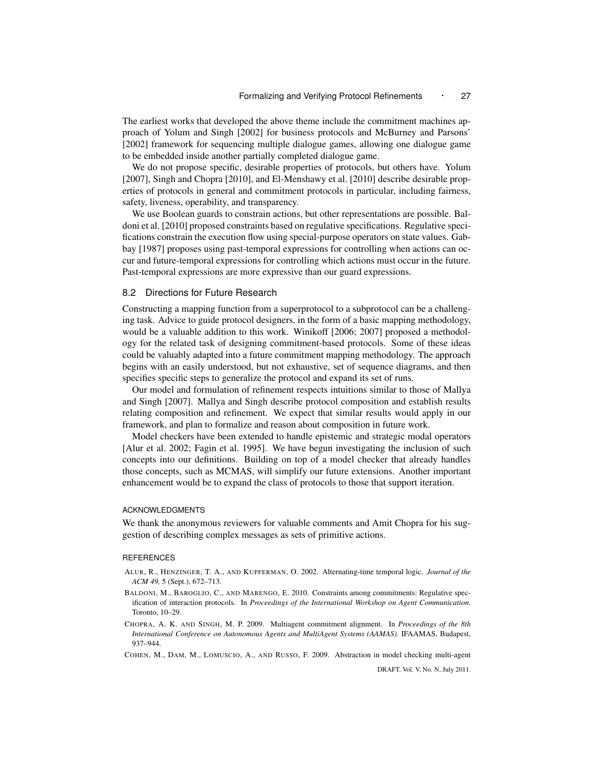The earliest works that developed the above theme include the commitment machines approach of Yolum and Singh [2002] for business protocols and McBurney and Parsons' [2002] framework for sequencing multiple dialogue games, allowing one dialogue game to be embedded inside another partially completed dialogue game.

We do not propose specific, desirable properties of protocols, but others have. Yolum [2007], Singh and Chopra [2010], and El-Menshawy et al. [2010] describe desirable properties of protocols in general and commitment protocols in particular, including fairness, safety, liveness, operability, and transparency.

We use Boolean guards to constrain actions, but other representations are possible. Baldoni et al. [2010] proposed constraints based on regulative specifications. Regulative specifications constrain the execution flow using special-purpose operators on state values. Gabbay [1987] proposes using past-temporal expressions for controlling when actions can occur and future-temporal expressions for controlling which actions must occur in the future. Past-temporal expressions are more expressive than our guard expressions.

## 8.2 Directions for Future Research

Constructing a mapping function from a superprotocol to a subprotocol can be a challenging task. Advice to guide protocol designers, in the form of a basic mapping methodology, would be a valuable addition to this work. Winikoff [2006; 2007] proposed a methodology for the related task of designing commitment-based protocols. Some of these ideas could be valuably adapted into a future commitment mapping methodology. The approach begins with an easily understood, but not exhaustive, set of sequence diagrams, and then specifies specific steps to generalize the protocol and expand its set of runs.

Our model and formulation of refinement respects intuitions similar to those of Mallya and Singh [2007]. Mallya and Singh describe protocol composition and establish results relating composition and refinement. We expect that similar results would apply in our framework, and plan to formalize and reason about composition in future work.

Model checkers have been extended to handle epistemic and strategic modal operators [Alur et al. 2002; Fagin et al. 1995]. We have begun investigating the inclusion of such concepts into our definitions. Building on top of a model checker that already handles those concepts, such as MCMAS, will simplify our future extensions. Another important enhancement would be to expand the class of protocols to those that support iteration.

#### ACKNOWLEDGMENTS

We thank the anonymous reviewers for valuable comments and Amit Chopra for his suggestion of describing complex messages as sets of primitive actions.

#### REFERENCES

- ALUR, R., HENZINGER, T. A., AND KUPFERMAN, O. 2002. Alternating-time temporal logic. *Journal of the ACM 49,* 5 (Sept.), 672–713.
- BALDONI, M., BAROGLIO, C., AND MARENGO, E. 2010. Constraints among commitments: Regulative specification of interaction protocols. In *Proceedings of the International Workshop on Agent Communication*. Toronto, 10–29.
- CHOPRA, A. K. AND SINGH, M. P. 2009. Multiagent commitment alignment. In *Proceedings of the 8th International Conference on Autonomous Agents and MultiAgent Systems (AAMAS)*. IFAAMAS, Budapest, 937–944.
- COHEN, M., DAM, M., LOMUSCIO, A., AND RUSSO, F. 2009. Abstraction in model checking multi-agent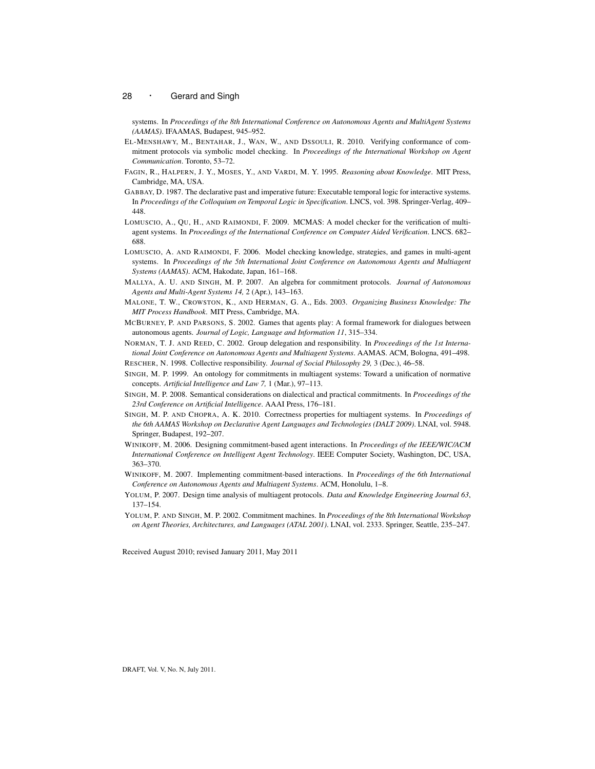systems. In *Proceedings of the 8th International Conference on Autonomous Agents and MultiAgent Systems (AAMAS)*. IFAAMAS, Budapest, 945–952.

- EL-MENSHAWY, M., BENTAHAR, J., WAN, W., AND DSSOULI, R. 2010. Verifying conformance of commitment protocols via symbolic model checking. In *Proceedings of the International Workshop on Agent Communication*. Toronto, 53–72.
- FAGIN, R., HALPERN, J. Y., MOSES, Y., AND VARDI, M. Y. 1995. *Reasoning about Knowledge*. MIT Press, Cambridge, MA, USA.
- GABBAY, D. 1987. The declarative past and imperative future: Executable temporal logic for interactive systems. In *Proceedings of the Colloquium on Temporal Logic in Specification*. LNCS, vol. 398. Springer-Verlag, 409– 448.
- LOMUSCIO, A., QU, H., AND RAIMONDI, F. 2009. MCMAS: A model checker for the verification of multiagent systems. In *Proceedings of the International Conference on Computer Aided Verification*. LNCS. 682– 688.
- LOMUSCIO, A. AND RAIMONDI, F. 2006. Model checking knowledge, strategies, and games in multi-agent systems. In *Proceedings of the 5th International Joint Conference on Autonomous Agents and Multiagent Systems (AAMAS)*. ACM, Hakodate, Japan, 161–168.
- MALLYA, A. U. AND SINGH, M. P. 2007. An algebra for commitment protocols. *Journal of Autonomous Agents and Multi-Agent Systems 14,* 2 (Apr.), 143–163.
- MALONE, T. W., CROWSTON, K., AND HERMAN, G. A., Eds. 2003. *Organizing Business Knowledge: The MIT Process Handbook*. MIT Press, Cambridge, MA.
- MCBURNEY, P. AND PARSONS, S. 2002. Games that agents play: A formal framework for dialogues between autonomous agents. *Journal of Logic, Language and Information 11*, 315–334.
- NORMAN, T. J. AND REED, C. 2002. Group delegation and responsibility. In *Proceedings of the 1st International Joint Conference on Autonomous Agents and Multiagent Systems*. AAMAS. ACM, Bologna, 491–498. RESCHER, N. 1998. Collective responsibility. *Journal of Social Philosophy 29,* 3 (Dec.), 46–58.
- SINGH, M. P. 1999. An ontology for commitments in multiagent systems: Toward a unification of normative concepts. *Artificial Intelligence and Law 7,* 1 (Mar.), 97–113.
- SINGH, M. P. 2008. Semantical considerations on dialectical and practical commitments. In *Proceedings of the 23rd Conference on Artificial Intelligence*. AAAI Press, 176–181.
- SINGH, M. P. AND CHOPRA, A. K. 2010. Correctness properties for multiagent systems. In *Proceedings of the 6th AAMAS Workshop on Declarative Agent Languages and Technologies (DALT 2009)*. LNAI, vol. 5948. Springer, Budapest, 192–207.
- WINIKOFF, M. 2006. Designing commitment-based agent interactions. In *Proceedings of the IEEE/WIC/ACM International Conference on Intelligent Agent Technology*. IEEE Computer Society, Washington, DC, USA, 363–370.
- WINIKOFF, M. 2007. Implementing commitment-based interactions. In *Proceedings of the 6th International Conference on Autonomous Agents and Multiagent Systems*. ACM, Honolulu, 1–8.
- YOLUM, P. 2007. Design time analysis of multiagent protocols. *Data and Knowledge Engineering Journal 63*, 137–154.
- YOLUM, P. AND SINGH, M. P. 2002. Commitment machines. In *Proceedings of the 8th International Workshop on Agent Theories, Architectures, and Languages (ATAL 2001)*. LNAI, vol. 2333. Springer, Seattle, 235–247.

Received August 2010; revised January 2011, May 2011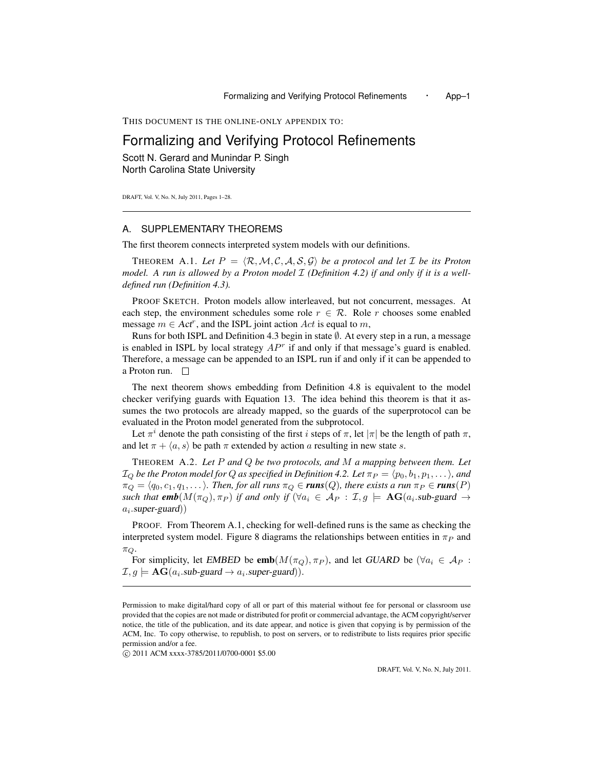THIS DOCUMENT IS THE ONLINE-ONLY APPENDIX TO:

# Formalizing and Verifying Protocol Refinements

Scott N. Gerard and Munindar P. Singh North Carolina State University

DRAFT, Vol. V, No. N, July 2011, Pages 1–28.

## A. SUPPLEMENTARY THEOREMS

The first theorem connects interpreted system models with our definitions.

THEOREM A.1. Let  $P = \langle R, M, C, A, S, G \rangle$  *be a protocol and let I be its Proton model. A run is allowed by a Proton model*  $I$  (*Definition 4.2) if and only if it is a welldefined run (Definition 4.3).*

PROOF SKETCH. Proton models allow interleaved, but not concurrent, messages. At each step, the environment schedules some role  $r \in \mathcal{R}$ . Role r chooses some enabled message  $m \in Act^r$ , and the ISPL joint action  $Act$  is equal to m,

Runs for both ISPL and Definition 4.3 begin in state ∅. At every step in a run, a message is enabled in ISPL by local strategy  $AP<sup>r</sup>$  if and only if that message's guard is enabled. Therefore, a message can be appended to an ISPL run if and only if it can be appended to a Proton run.  $\square$ 

The next theorem shows embedding from Definition 4.8 is equivalent to the model checker verifying guards with Equation 13. The idea behind this theorem is that it assumes the two protocols are already mapped, so the guards of the superprotocol can be evaluated in the Proton model generated from the subprotocol.

Let  $\pi^{i}$  denote the path consisting of the first *i* steps of  $\pi$ , let  $|\pi|$  be the length of path  $\pi$ , and let  $\pi + \langle a, s \rangle$  be path  $\pi$  extended by action a resulting in new state s.

THEOREM A.2. *Let* P *and* Q *be two protocols, and* M *a mapping between them. Let*  $\mathcal{I}_Q$  *be the Proton model for* Q *as specified in Definition 4.2. Let*  $\pi_P = \langle p_0, b_1, p_1, \ldots \rangle$ *, and*  $\pi_Q = \langle q_0, c_1, q_1, \dots \rangle$ *. Then, for all runs*  $\pi_Q \in \text{runs}(Q)$ *, there exists a run*  $\pi_P \in \text{runs}(P)$ *such that*  $emb(M(\pi_Q), \pi_P)$  *if and only if*  $(\forall a_i \in A_P : I, g \models \textbf{AG}(a_i.\textsf{sub-guard} \rightarrow$  $a_i$ .super-guard))

PROOF. From Theorem A.1, checking for well-defined runs is the same as checking the interpreted system model. Figure 8 diagrams the relationships between entities in  $\pi_P$  and  $\pi_Q$ .

For simplicity, let EMBED be  $emb(M(\pi_Q), \pi_P)$ , and let GUARD be  $(\forall a_i \in A_P :$  $\mathcal{I}, g \models \textbf{AG}(a_i.\text{sub-guard} \rightarrow a_i.\text{super-guard})).$ 

c 2011 ACM xxxx-3785/2011/0700-0001 \$5.00

Permission to make digital/hard copy of all or part of this material without fee for personal or classroom use provided that the copies are not made or distributed for profit or commercial advantage, the ACM copyright/server notice, the title of the publication, and its date appear, and notice is given that copying is by permission of the ACM, Inc. To copy otherwise, to republish, to post on servers, or to redistribute to lists requires prior specific permission and/or a fee.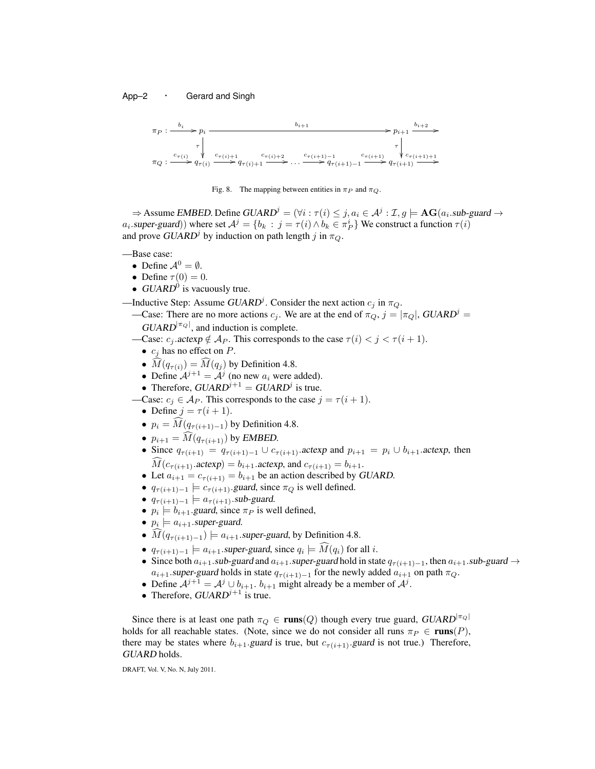App-2 · Gerard and Singh



Fig. 8. The mapping between entities in  $\pi_P$  and  $\pi_Q$ .

 $\Rightarrow$  Assume EMBED. Define  $GUARD^j = (\forall i : \tau(i) \leq j, a_i \in \mathcal{A}^j : \mathcal{I}, g \models \mathbf{AG}(a_i.\mathsf{sub}\text{-}guard \rightarrow$  $a_i$  super-guard)) where set  $\mathcal{A}^j = \{b_k : j = \tau(i) \land b_k \in \pi_P^i\}$  We construct a function  $\tau(i)$ and prove  $GUARD^j$  by induction on path length j in  $\pi_Q$ .

—Base case:

- Define  $A^0 = \emptyset$ .
- Define  $\tau(0) = 0$ .
- GUARD<sup>0</sup> is vacuously true.

—Inductive Step: Assume  $GUARD^j$ . Consider the next action  $c_j$  in  $\pi_Q$ .

- —Case: There are no more actions  $c_j$ . We are at the end of  $\pi_Q$ ,  $j = |\pi_Q|$ , GUARD<sup>j</sup> =  $GUARD^{|\pi_Q|}$ , and induction is complete.
- —Case:  $c_i$  actexp  $\notin A_P$ . This corresponds to the case  $\tau(i) < j < \tau(i+1)$ .
	- $c_j$  has no effect on  $P$ .
	- $\widehat{M}(q_{\tau(i)}) = \widehat{M}(q_j)$  by Definition 4.8.
	- Define  $A^{j+1} = A^j$  (no new  $a_i$  were added).
	- Therefore,  $GUARD^{j+1} = GUARD^{j}$  is true.
- —Case:  $c_j \in A_P$ . This corresponds to the case  $j = \tau(i + 1)$ .
	- Define  $j = \tau(i + 1)$ .
	- $p_i = \widehat{M}(q_{\tau(i+1)-1})$  by Definition 4.8.
	- $p_{i+1} = \widehat{M}(q_{\tau(i+1)})$  by EMBED.
	- Since  $q_{\tau(i+1)} = q_{\tau(i+1)-1} \cup c_{\tau(i+1)}$ . actexp and  $p_{i+1} = p_i \cup b_{i+1}$ . actexp, then  $M(c_{\tau(i+1)}.accept) = b_{i+1}.accept,$  and  $c_{\tau(i+1)} = b_{i+1}.$
	- Let  $a_{i+1} = c_{\tau(i+1)} = b_{i+1}$  be an action described by GUARD.
	- $q_{\tau(i+1)-1} \models c_{\tau(i+1)}$ . guard, since  $\pi_Q$  is well defined.
	- $q_{\tau(i+1)-1} \models a_{\tau(i+1)}$ .sub-guard.
	- $p_i \models b_{i+1}$  guard, since  $\pi_P$  is well defined,
	- $p_i \models a_{i+1}$ .super-guard.
	- $M(q_{\tau(i+1)-1}) \models a_{i+1}$  super-guard, by Definition 4.8.
	- $q_{\tau(i+1)-1} \models a_{i+1}$  super-guard, since  $q_i \models M(q_i)$  for all i.
	- Since both  $a_{i+1}$ .sub-guard and  $a_{i+1}$ .super-guard hold in state  $q_{\tau(i+1)-1}$ , then  $a_{i+1}$ .sub-guard  $\rightarrow$  $a_{i+1}$  super-guard holds in state  $q_{\tau(i+1)-1}$  for the newly added  $a_{i+1}$  on path  $\pi_Q$ .
	- Define  $A^{j+1} = A^j \cup b_{i+1}$ .  $b_{i+1}$  might already be a member of  $A^j$ .
	- Therefore,  $GUARD^{j+1}$  is true.

Since there is at least one path  $\pi_Q \in \text{runs}(Q)$  though every true guard,  $GUARD^{|\pi_Q|}$ holds for all reachable states. (Note, since we do not consider all runs  $\pi_P \in \text{runs}(P)$ , there may be states where  $b_{i+1}$  guard is true, but  $c_{\tau(i+1)}$  guard is not true.) Therefore, GUARD holds.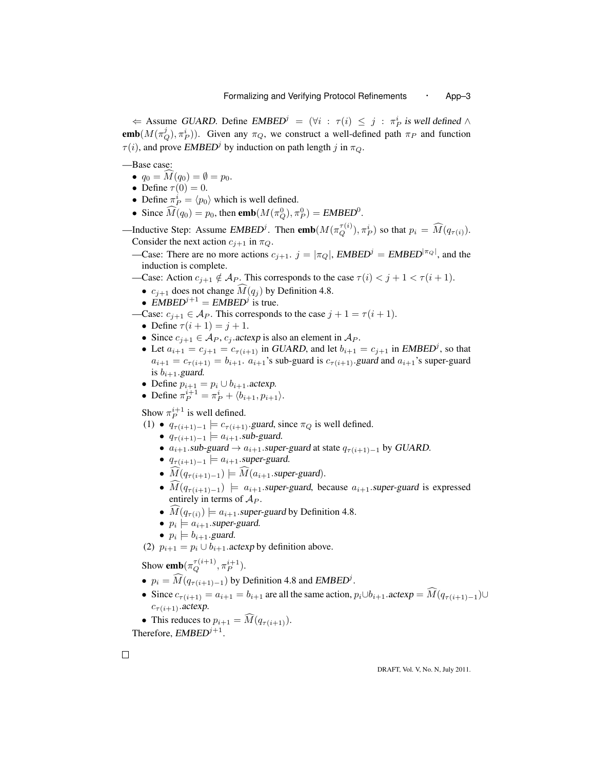$\Leftarrow$  Assume GUARD. Define EMBED<sup>j</sup> = (∀i :  $\tau(i) \leq j$  :  $\pi_P^i$  is well defined ∧ emb $(M(\pi_Q^j), \pi_P^i)$ ). Given any  $\pi_Q$ , we construct a well-defined path  $\pi_P$  and function  $\tau(i)$ , and prove EMBED<sup>j</sup> by induction on path length j in  $\pi_Q$ .

—Base case:

- $q_0 = M(q_0) = \emptyset = p_0$ .
- Define  $\tau(0) = 0$ .
- Define  $\pi_P^i = \langle p_0 \rangle$  which is well defined.
- Since  $\widehat{M}(q_0) = p_0$ , then **emb** $(M(\pi_Q^0), \pi_P^0) = EMBED^0$ .
- —Inductive Step: Assume  $EMBED^j$ . Then  $emb(M(\pi_Q^{\tau(i)}), \pi_P^i)$  so that  $p_i = \widehat{M}(q_{\tau(i)})$ . Consider the next action  $c_{i+1}$  in  $\pi_Q$ .
	- —Case: There are no more actions  $c_{j+1}$ .  $j = |\pi_Q|$ ,  $EMBED^{j} = EMBED^{|\pi_Q|}$ , and the induction is complete.
	- —Case: Action  $c_{j+1} \notin A_P$ . This corresponds to the case  $\tau(i) < j+1 < \tau(i+1)$ .
		- $c_{j+1}$  does not change  $\widehat{M}(q_j)$  by Definition 4.8.
		- **EMBED**<sup> $j+1$ </sup> = **EMBED**<sup> $j$ </sup> is true.
	- —Case:  $c_{j+1} \in A_P$ . This corresponds to the case  $j + 1 = \tau(i + 1)$ .
		- Define  $\tau(i+1) = j+1$ .
		- Since  $c_{j+1} \in A_P$ ,  $c_j$  actexp is also an element in  $A_P$ .
		- Let  $a_{i+1} = c_{j+1} = c_{\tau(i+1)}$  in GUARD, and let  $b_{i+1} = c_{j+1}$  in EMBED<sup>j</sup>, so that  $a_{i+1} = c_{\tau(i+1)} = b_{i+1}$ .  $a_{i+1}$ 's sub-guard is  $c_{\tau(i+1)}$ . guard and  $a_{i+1}$ 's super-guard is  $b_{i+1}$ . guard.
		- Define  $p_{i+1} = p_i \cup b_{i+1}$ . actexp.
		- Define  $\pi_P^{i+1} = \pi_P^i + \langle b_{i+1}, p_{i+1} \rangle$ .

Show  $\pi_P^{i+1}$  is well defined.

- (1)  $q_{\tau(i+1)-1}$   $\models$   $c_{\tau(i+1)}$ . guard, since  $\pi_Q$  is well defined.
	- $q_{\tau(i+1)-1} \models a_{i+1}$ .sub-guard.
	- $a_{i+1}$ .sub-guard  $\rightarrow a_{i+1}$ .super-guard at state  $q_{\tau(i+1)-1}$  by GUARD.
	- $q_{\tau(i+1)-1} \models a_{i+1}$ .super-guard.
	- $\widehat{M}(q_{\tau(i+1)-1}) \models \widehat{M}(a_{i+1}.\text{super-guard}).$
	- $M(q_{\tau(i+1)-1}) \models a_{i+1}$  super-guard, because  $a_{i+1}$  super-guard is expressed entirely in terms of  $A_P$ .
	- $\widehat{M}(q_{\tau(i)}) \models a_{i+1}$  super-guard by Definition 4.8.
	- $p_i \models a_{i+1}$ .super-guard.
	- $p_i \models b_{i+1}.guard.$

(2)  $p_{i+1} = p_i \cup b_{i+1}$  actexp by definition above.

Show  $\mathbf{emb}(\pi_Q^{\tau(i+1)}, \pi_P^{i+1}).$ 

- $p_i = \widehat{M}(q_{\tau(i+1)-1})$  by Definition 4.8 and  $EMBED^j$ .
- Since  $c_{\tau(i+1)} = a_{i+1} = b_{i+1}$  are all the same action,  $p_i \cup b_{i+1}$ . actex  $p = \widehat{M}(q_{\tau(i+1)-1}) \cup$  $c_{\tau(i+1)}$ .actexp.
- This reduces to  $p_{i+1} = \widehat{M}(q_{\tau(i+1)})$ .

Therefore,  $EMBED^{j+1}$ .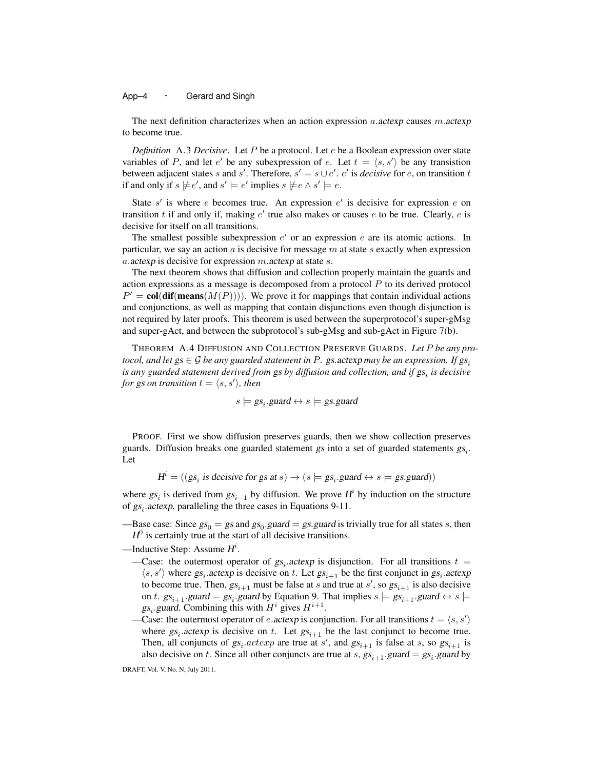#### App-4 · Gerard and Singh

The next definition characterizes when an action expression a.actexp causes m.actexp to become true.

*Definition* A.3 *Decisive*. Let P be a protocol. Let e be a Boolean expression over state variables of P, and let e' be any subexpression of e. Let  $t = \langle s, s' \rangle$  be any transistion between adjacent states s and s'. Therefore,  $s' = s \cup e'$ . e' is *decisive* for e, on transition t if and only if  $s \not\models e'$ , and  $s' \models e'$  implies  $s \not\models e \land s' \models e$ .

State  $s'$  is where e becomes true. An expression  $e'$  is decisive for expression  $e$  on transition  $t$  if and only if, making  $e'$  true also makes or causes  $e$  to be true. Clearly,  $e$  is decisive for itself on all transitions.

The smallest possible subexpression  $e'$  or an expression  $e$  are its atomic actions. In particular, we say an action  $a$  is decisive for message  $m$  at state  $s$  exactly when expression a.actexp is decisive for expression m.actexp at state s.

The next theorem shows that diffusion and collection properly maintain the guards and action expressions as a message is decomposed from a protocol P to its derived protocol  $P' = \text{col}(\text{dif}(\text{means}(M(P))))$ . We prove it for mappings that contain individual actions and conjunctions, as well as mapping that contain disjunctions even though disjunction is not required by later proofs. This theorem is used between the superprotocol's super-gMsg and super-gAct, and between the subprotocol's sub-gMsg and sub-gAct in Figure 7(b).

THEOREM A.4 DIFFUSION AND COLLECTION PRESERVE GUARDS. *Let* P *be any protocol, and let*  $gs \in \mathcal{G}$  *be any guarded statement in* P. gs. actexp *may be an expression.* If  $gs_i$ is any guarded statement derived from gs by diffusion and collection, and if  $\mathrm{gs}_i$  is decisive *for gs on transition*  $t = \langle s, s' \rangle$ *, then* 

$$
s \models \mathit{gs}_i.\mathit{guard} \leftrightarrow s \models \mathit{gs.guard}
$$

PROOF. First we show diffusion preserves guards, then we show collection preserves guards. Diffusion breaks one guarded statement  $gs$  into a set of guarded statements  $gs_i$ . Let

$$
H^i = ((gs_i \text{ is decisive for gs at } s) \rightarrow (s \models gs_i.\text{guard} \leftrightarrow s \models gs.\text{guard}))
$$

where  $gs_i$  is derived from  $gs_{i-1}$  by diffusion. We prove  $H^i$  by induction on the structure of  $gs_i$  actexp, paralleling the three cases in Equations 9-11.

—Base case: Since  $gs_0 = gs$  and  $gs_0$ .guard = gs.guard is trivially true for all states s, then  $H<sup>0</sup>$  is certainly true at the start of all decisive transitions.

—Inductive Step: Assume  $H^i$ .

- —Case: the outermost operator of  $gs_i$  actexp is disjunction. For all transitions  $t =$  $\langle s, s' \rangle$  where  $gs_i$  actexp is decisive on t. Let  $gs_{i+1}$  be the first conjunct in  $gs_i$  actexp to become true. Then,  $gs_{i+1}$  must be false at s and true at s', so  $gs_{i+1}$  is also decisive on t.  $gs_{i+1}$  guard =  $gs_i$  guard by Equation 9. That implies  $s \models gs_{i+1}$  guard  $\leftrightarrow s \models$  $gs_i$  guard. Combining this with  $H^i$  gives  $H^{i+1}$ .
- —Case: the outermost operator of *e* actexp is conjunction. For all transitions  $t = \langle s, s' \rangle$ where  $gs_i$  actexp is decisive on t. Let  $gs_{i+1}$  be the last conjunct to become true. Then, all conjuncts of  $gs_i. \text{actexp}$  are true at s', and  $gs_{i+1}$  is false at s, so  $gs_{i+1}$  is also decisive on t. Since all other conjuncts are true at s,  $gs_{i+1}$  guard =  $gs_i$  guard by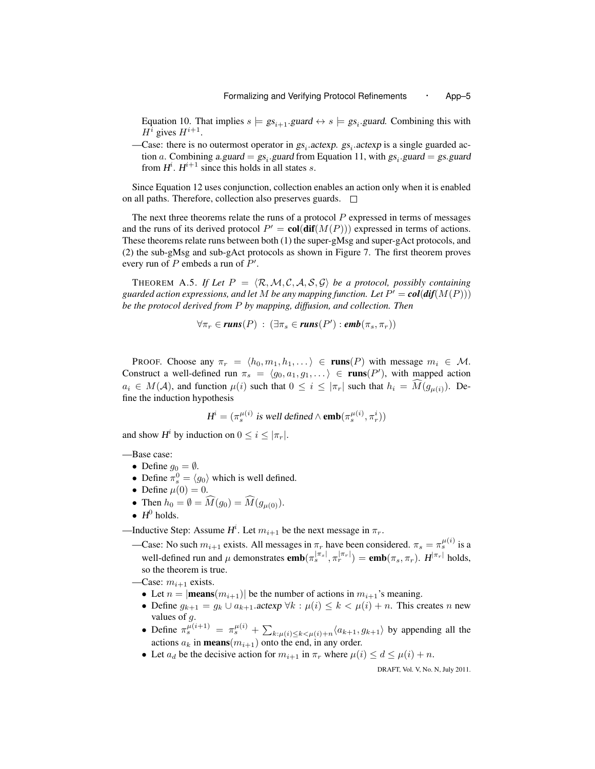Equation 10. That implies  $s \models gs_{i+1}$  guard  $\Leftrightarrow s \models gs_i$  guard. Combining this with  $H^i$  gives  $H^{i+1}$ .

—Case: there is no outermost operator in  $gs_i$  actexp.  $gs_i$  actexp is a single guarded action a. Combining a.guard =  $gs_i$ .guard from Equation 11, with  $gs_i$ .guard = gs.guard from  $H^i$ .  $H^{i+1}$  since this holds in all states s.

Since Equation 12 uses conjunction, collection enables an action only when it is enabled on all paths. Therefore, collection also preserves guards.  $\square$ 

The next three theorems relate the runs of a protocol  $P$  expressed in terms of messages and the runs of its derived protocol  $P' = \text{col}(\text{dif}(M(P)))$  expressed in terms of actions. These theorems relate runs between both (1) the super-gMsg and super-gAct protocols, and (2) the sub-gMsg and sub-gAct protocols as shown in Figure 7. The first theorem proves every run of  $P$  embeds a run of  $P'$ .

THEOREM A.5. If Let  $P = \langle \mathcal{R}, \mathcal{M}, \mathcal{C}, \mathcal{A}, \mathcal{S}, \mathcal{G} \rangle$  be a protocol, possibly containing guarded action expressions, and let M be any mapping function. Let  $P' = \text{col}(\text{dif}(M(P)))$ *be the protocol derived from* P *by mapping, diffusion, and collection. Then*

$$
\forall \pi_r \in runs(P) : (\exists \pi_s \in runs(P') : emb(\pi_s, \pi_r))
$$

PROOF. Choose any  $\pi_r = \langle h_0, m_1, h_1, \dots \rangle \in \text{runs}(P)$  with message  $m_i \in \mathcal{M}$ . Construct a well-defined run  $\pi_s = \langle g_0, a_1, g_1, \dots \rangle \in \text{runs}(P')$ , with mapped action  $a_i \in M(\mathcal{A})$ , and function  $\mu(i)$  such that  $0 \leq i \leq |\pi_r|$  such that  $h_i = \widehat{M}(g_{\mu(i)})$ . Define the induction hypothesis

 $H^i = (\pi_s^{\mu(i)} \text{ is well defined} \wedge \textbf{emb}(\pi_s^{\mu(i)}, \pi_r^i))$ 

and show  $H^i$  by induction on  $0 \leq i \leq |\pi_r|$ .

—Base case:

- Define  $g_0 = \emptyset$ .
- Define  $\pi_s^0 = \langle g_0 \rangle$  which is well defined.
- Define  $\mu(0) = 0$ .
- Then  $h_0 = \emptyset = \widehat{M}(g_0) = \widehat{M}(g_{\mu(0)})$ .
- $H^0$  holds.

—Inductive Step: Assume  $H^i$ . Let  $m_{i+1}$  be the next message in  $\pi_r$ .

—Case: No such  $m_{i+1}$  exists. All messages in  $\pi_r$  have been considered.  $\pi_s = \pi_s^{\mu(i)}$  is a well-defined run and  $\mu$  demonstrates  $\mathbf{emb}(\pi_s^{|\pi_s|}, \pi_r^{|\pi_r|}) = \mathbf{emb}(\pi_s, \pi_r)$ .  $H^{|\pi_r|}$  holds, so the theorem is true.

—Case:  $m_{i+1}$  exists.

- Let  $n = | \text{means}(m_{i+1}) |$  be the number of actions in  $m_{i+1}$ 's meaning.
- Define  $g_{k+1} = g_k \cup a_{k+1}$ . actexp  $\forall k : \mu(i) \leq k < \mu(i) + n$ . This creates n new values of  $g$ .
- Define  $\pi_s^{\mu(i+1)} = \pi_s^{\mu(i)} + \sum_{k:\mu(i) \le k \le \mu(i)+n} \langle a_{k+1}, g_{k+1} \rangle$  by appending all the actions  $a_k$  in **means** $(m_{i+1})$  onto the end, in any order.
- Let  $a_d$  be the decisive action for  $m_{i+1}$  in  $\pi_r$  where  $\mu(i) \leq d \leq \mu(i) + n$ .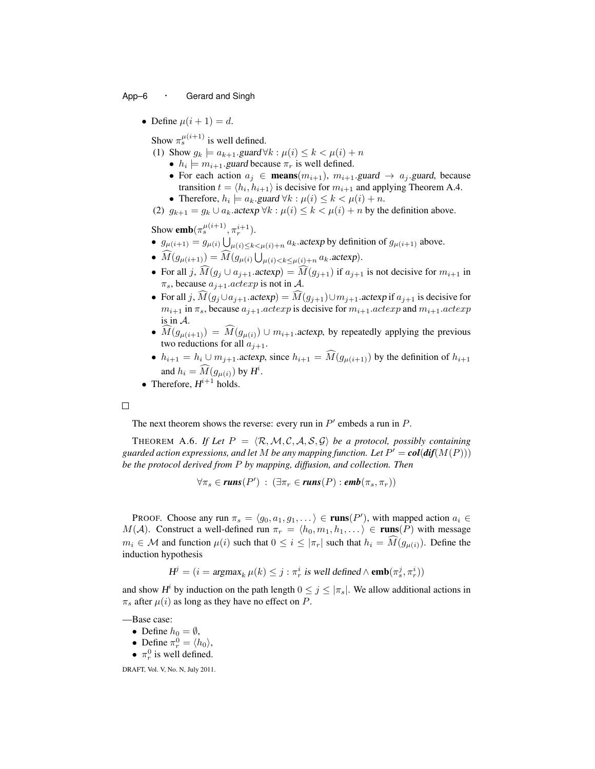#### App–6 · Gerard and Singh

• Define  $\mu(i+1) = d$ .

Show  $\pi_s^{\mu(i+1)}$  is well defined.

- (1) Show  $q_k \models a_{k+1}$  guard  $\forall k : \mu(i) \leq k < \mu(i) + n$ 
	- $h_i \models m_{i+1}$  guard because  $\pi_r$  is well defined.
	- For each action  $a_i \in \text{means}(m_{i+1}), m_{i+1}.$  guard  $\rightarrow a_i$ . guard, because transition  $t = \langle h_i, h_{i+1} \rangle$  is decisive for  $m_{i+1}$  and applying Theorem A.4.
	- Therefore,  $h_i \models a_k$ . guard  $\forall k : \mu(i) \leq k < \mu(i) + n$ .

(2)  $g_{k+1} = g_k \cup a_k$ . actexp  $\forall k : \mu(i) \leq k < \mu(i) + n$  by the definition above.

Show **emb** $(\pi_s^{\mu(i+1)}, \pi_r^{i+1}).$ 

- $g_{\mu(i+1)} = g_{\mu(i)} \bigcup_{\mu(i) \le k < \mu(i)+n} a_k$  actexp by definition of  $g_{\mu(i+1)}$  above.
- $M(g_{\mu(i+1)}) = M(g_{\mu(i)} \bigcup_{\mu(i) < k \leq \mu(i)+n} a_k \text{.} \text{actexp}).$
- For all j,  $\widehat{M}(g_j \cup a_{j+1}.\text{accept}) = \widehat{M}(g_{j+1})$  if  $a_{j+1}$  is not decisive for  $m_{i+1}$  in  $\pi_s$ , because  $a_{i+1}$ . actexp is not in A.
- For all j,  $\widehat{M}(g_j \cup a_{j+1}).$  actex $p) = \widehat{M}(g_{j+1}) \cup m_{j+1}.$  actexp if  $a_{j+1}$  is decisive for  $m_{i+1}$  in  $\pi_s$ , because  $a_{i+1}$  actexp is decisive for  $m_{i+1}$  actexp and  $m_{i+1}$  actexp is in A.
- $\widehat{M}(g_{\mu(i+1)}) = \widehat{M}(g_{\mu(i)}) \cup m_{i+1}$  actexp, by repeatedly applying the previous two reductions for all  $a_{i+1}$ .
- $h_{i+1} = h_i \cup m_{j+1}$  actexp, since  $h_{i+1} = \widehat{M}(g_{\mu(i+1)})$  by the definition of  $h_{i+1}$ and  $h_i = \widehat{M}(g_{\mu(i)})$  by  $H^i$ .
- Therefore,  $H^{i+1}$  holds.

 $\Box$ 

The next theorem shows the reverse: every run in  $P'$  embeds a run in  $P$ .

THEOREM A.6. If Let  $P = \langle \mathcal{R}, \mathcal{M}, \mathcal{C}, \mathcal{A}, \mathcal{S}, \mathcal{G} \rangle$  be a protocol, possibly containing guarded action expressions, and let M be any mapping function. Let  $P' = \text{col}(\text{dif}(M(P)))$ *be the protocol derived from* P *by mapping, diffusion, and collection. Then*

$$
\forall \pi_s \in \mathit{runs}(P') \; : \; (\exists \pi_r \in \mathit{runs}(P) : \mathit{emb}(\pi_s, \pi_r))
$$

PROOF. Choose any run  $\pi_s = \langle g_0, a_1, g_1, \dots \rangle \in \text{runs}(P')$ , with mapped action  $a_i \in$  $M(\mathcal{A})$ . Construct a well-defined run  $\pi_r = \langle h_0, m_1, h_1, \dots \rangle \in \text{runs}(P)$  with message  $m_i \in \mathcal{M}$  and function  $\mu(i)$  such that  $0 \leq i \leq |\pi_r|$  such that  $h_i = \widehat{M}(g_{\mu(i)})$ . Define the induction hypothesis

$$
H^j=(i=\text{argmax}_k\,\mu(k)\leq j:\pi_r^i\text{ is well defined}\land\textbf{emb}(\pi^j_s,\pi^i_r))
$$

and show  $H^i$  by induction on the path length  $0 \le j \le |\pi_s|$ . We allow additional actions in  $\pi_s$  after  $\mu(i)$  as long as they have no effect on P.

—Base case:

- Define  $h_0 = \emptyset$ ,
- Define  $\pi_r^0 = \langle h_0 \rangle$ ,
- $\pi_r^0$  is well defined.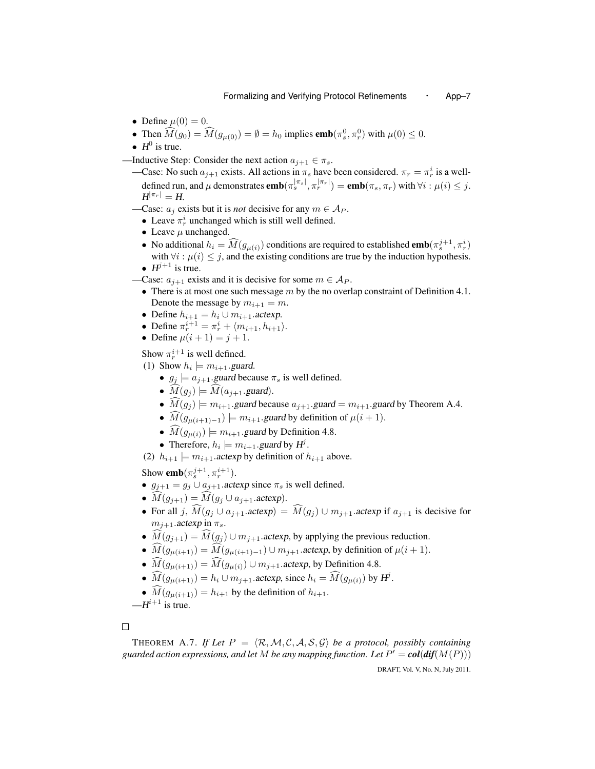- Define  $\mu(0) = 0$ .
- Then  $\widehat{M}(g_0) = \widehat{M}(g_{\mu(0)}) = \emptyset = h_0$  implies  $\mathbf{emb}(\pi_s^0, \pi_r^0)$  with  $\mu(0) \leq 0$ .
- $H^0$  is true.
- —Inductive Step: Consider the next action  $a_{i+1} \in \pi_s$ .

—Case: No such  $a_{j+1}$  exists. All actions in  $\pi_s$  have been considered.  $\pi_r = \pi_r^i$  is a welldefined run, and  $\mu$  demonstrates  $\mathbf{emb}(\pi_s^{|\pi_s|}, \pi_r^{|\pi_r|}) = \mathbf{emb}(\pi_s, \pi_r)$  with  $\forall i: \mu(i) \leq j.$  $H^{|\pi_r|}=H$ .

—Case:  $a_i$  exists but it is *not* decisive for any  $m \in A_P$ .

- Leave  $\pi_r^i$  unchanged which is still well defined.
- Leave  $\mu$  unchanged.
- No additional  $h_i = \widehat{M}(g_{\mu(i)})$  conditions are required to established **emb** $(\pi_s^{j+1}, \pi_r^i)$ with  $\forall i : \mu(i) \leq j$ , and the existing conditions are true by the induction hypothesis.

•  $H^{j+1}$  is true.

- —Case:  $a_{i+1}$  exists and it is decisive for some  $m \in A_P$ .
	- There is at most one such message  $m$  by the no overlap constraint of Definition 4.1. Denote the message by  $m_{i+1} = m$ .
	- Define  $h_{i+1} = h_i \cup m_{i+1}$ . actexp.
	- Define  $\pi_r^{i+1} = \pi_r^i + \langle m_{i+1}, h_{i+1} \rangle$ .
	- Define  $\mu(i + 1) = j + 1$ .

Show  $\pi_r^{i+1}$  is well defined.

(1) Show  $h_i \models m_{i+1}$  guard.

- $g_j \models a_{j+1}$  guard because  $\pi_s$  is well defined.
- $\widehat{M}(g_i) \models \widehat{M}(a_{i+1}.guard).$
- $\widehat{M}(g_i) \models m_{i+1}$  guard because  $a_{i+1}$  guard =  $m_{i+1}$  guard by Theorem A.4.
- $\widehat{M}(g_{\mu(i+1)-1}) \models m_{i+1}$ . guard by definition of  $\mu(i+1)$ .
- $\widehat{M}(g_{\mu(i)}) \models m_{i+1}$  guard by Definition 4.8.
- Therefore,  $h_i \models m_{i+1}.$  guard by  $H^j$ .

(2)  $h_{i+1} \models m_{i+1}$  actexp by definition of  $h_{i+1}$  above.

Show **emb** $(\pi_s^{j+1}, \pi_r^{i+1})$ .

- $g_{j+1} = g_j \cup a_{j+1}$  actexp since  $\pi_s$  is well defined.
- $\hat{M}(g_{i+1}) = \hat{M}(g_i \cup a_{i+1}.\text{actexp}).$
- For all j,  $\widehat{M}(g_i \cup a_{i+1}.\text{accept}) = \widehat{M}(g_i) \cup m_{i+1}.\text{accept}$  is decisive for  $m_{i+1}$ . actexp in  $\pi_s$ .
- $\widehat{M}(g_{j+1}) = \widehat{M}(g_j) \cup m_{j+1}$  actexp, by applying the previous reduction.
- $\widehat{M}(g_{\mu(i+1)}) = \widehat{M}(g_{\mu(i+1)-1}) \cup m_{i+1}$  actexp, by definition of  $\mu(i+1)$ .
- $\widehat{M}(g_{\mu(i+1)}) = \widehat{M}(g_{\mu(i)}) \cup m_{j+1}$  actexp, by Definition 4.8.
- $\widehat{M}(g_{\mu(i+1)}) = h_i \cup m_{j+1}$  actexp, since  $h_i = \widehat{M}(g_{\mu(i)})$  by  $H^j$ .
- $\widehat{M}(g_{\mu(i+1)}) = h_{i+1}$  by the definition of  $h_{i+1}$ .
- $-H^{i+1}$  is true.

 $\Box$ 

THEOREM A.7. If Let  $P = \langle \mathcal{R}, \mathcal{M}, \mathcal{C}, \mathcal{A}, \mathcal{S}, \mathcal{G} \rangle$  be a protocol, possibly containing guarded action expressions, and let M be any mapping function. Let  $P' = \text{col}(\text{dif}(M(P)))$